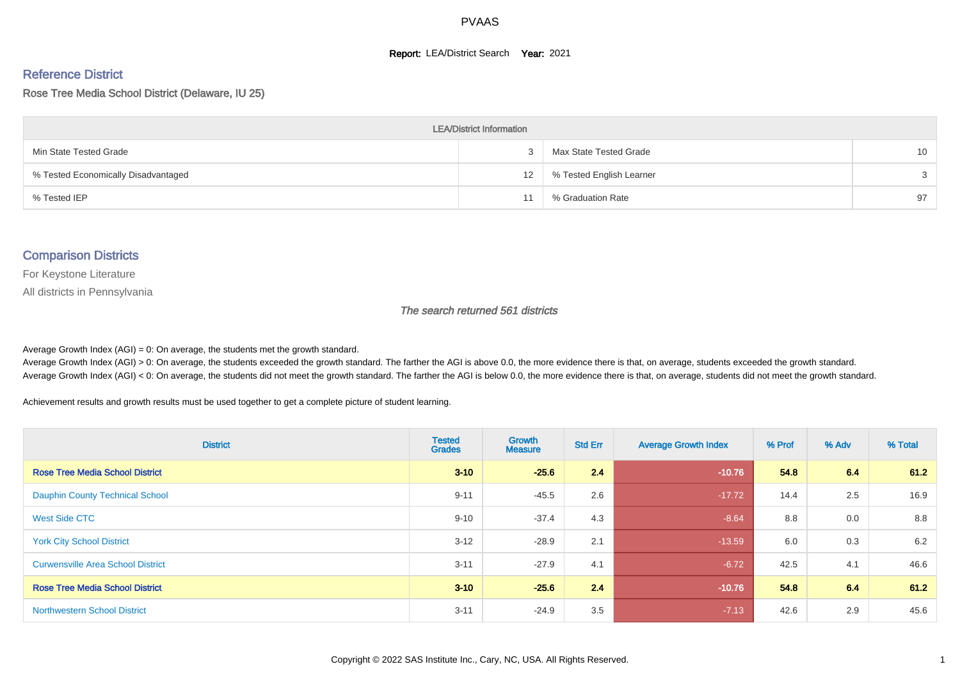#### **Report: LEA/District Search Year: 2021**

# Reference District

Rose Tree Media School District (Delaware, IU 25)

| <b>LEA/District Information</b>     |    |                          |                 |  |  |  |  |  |  |  |
|-------------------------------------|----|--------------------------|-----------------|--|--|--|--|--|--|--|
| Min State Tested Grade              |    | Max State Tested Grade   | 10 <sup>1</sup> |  |  |  |  |  |  |  |
| % Tested Economically Disadvantaged | 12 | % Tested English Learner | $\mathcal{S}$   |  |  |  |  |  |  |  |
| % Tested IEP                        |    | % Graduation Rate        | 97              |  |  |  |  |  |  |  |

#### Comparison Districts

For Keystone Literature

All districts in Pennsylvania

The search returned 561 districts

Average Growth Index  $(AGI) = 0$ : On average, the students met the growth standard.

Average Growth Index (AGI) > 0: On average, the students exceeded the growth standard. The farther the AGI is above 0.0, the more evidence there is that, on average, students exceeded the growth standard. Average Growth Index (AGI) < 0: On average, the students did not meet the growth standard. The farther the AGI is below 0.0, the more evidence there is that, on average, students did not meet the growth standard.

Achievement results and growth results must be used together to get a complete picture of student learning.

| <b>District</b>                          | <b>Tested</b><br><b>Grades</b> | <b>Growth</b><br><b>Measure</b> | <b>Std Err</b> | <b>Average Growth Index</b> | % Prof | % Adv | % Total |
|------------------------------------------|--------------------------------|---------------------------------|----------------|-----------------------------|--------|-------|---------|
| <b>Rose Tree Media School District</b>   | $3 - 10$                       | $-25.6$                         | 2.4            | $-10.76$                    | 54.8   | 6.4   | 61.2    |
| <b>Dauphin County Technical School</b>   | $9 - 11$                       | $-45.5$                         | 2.6            | $-17.72$                    | 14.4   | 2.5   | 16.9    |
| West Side CTC                            | $9 - 10$                       | $-37.4$                         | 4.3            | $-8.64$                     | 8.8    | 0.0   | 8.8     |
| <b>York City School District</b>         | $3 - 12$                       | $-28.9$                         | 2.1            | $-13.59$                    | 6.0    | 0.3   | 6.2     |
| <b>Curwensville Area School District</b> | $3 - 11$                       | $-27.9$                         | 4.1            | $-6.72$                     | 42.5   | 4.1   | 46.6    |
| <b>Rose Tree Media School District</b>   | $3 - 10$                       | $-25.6$                         | 2.4            | $-10.76$                    | 54.8   | 6.4   | 61.2    |
| <b>Northwestern School District</b>      | $3 - 11$                       | $-24.9$                         | 3.5            | $-7.13$                     | 42.6   | 2.9   | 45.6    |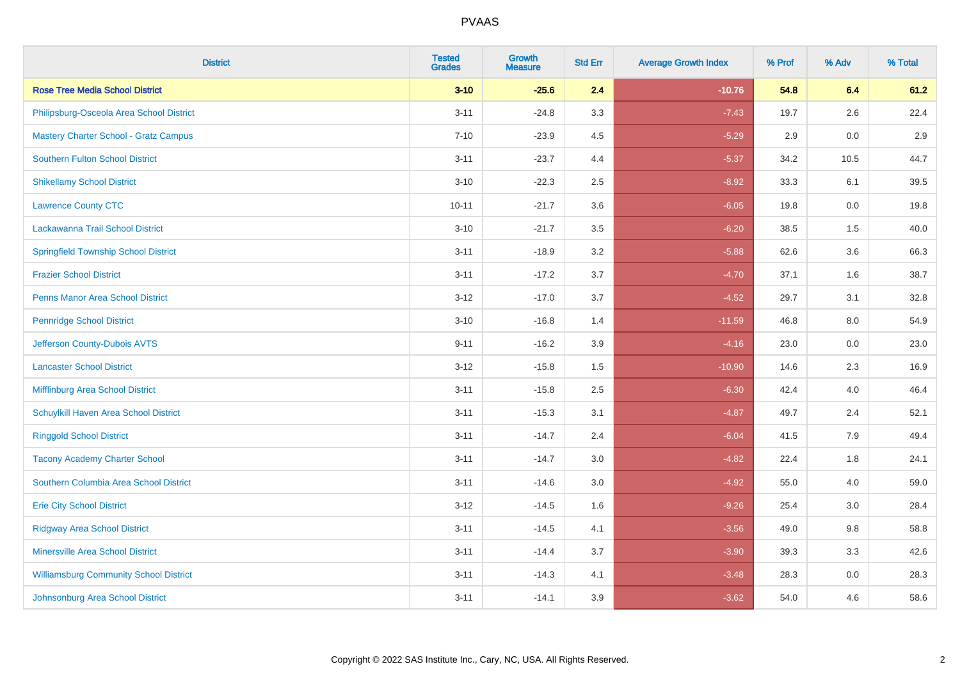| <b>District</b>                               | <b>Tested</b><br><b>Grades</b> | <b>Growth</b><br><b>Measure</b> | <b>Std Err</b> | <b>Average Growth Index</b> | % Prof | % Adv | % Total |
|-----------------------------------------------|--------------------------------|---------------------------------|----------------|-----------------------------|--------|-------|---------|
| <b>Rose Tree Media School District</b>        | $3 - 10$                       | $-25.6$                         | 2.4            | $-10.76$                    | 54.8   | 6.4   | 61.2    |
| Philipsburg-Osceola Area School District      | $3 - 11$                       | $-24.8$                         | 3.3            | $-7.43$                     | 19.7   | 2.6   | 22.4    |
| <b>Mastery Charter School - Gratz Campus</b>  | $7 - 10$                       | $-23.9$                         | 4.5            | $-5.29$                     | 2.9    | 0.0   | 2.9     |
| <b>Southern Fulton School District</b>        | $3 - 11$                       | $-23.7$                         | 4.4            | $-5.37$                     | 34.2   | 10.5  | 44.7    |
| <b>Shikellamy School District</b>             | $3 - 10$                       | $-22.3$                         | 2.5            | $-8.92$                     | 33.3   | 6.1   | 39.5    |
| <b>Lawrence County CTC</b>                    | $10 - 11$                      | $-21.7$                         | 3.6            | $-6.05$                     | 19.8   | 0.0   | 19.8    |
| Lackawanna Trail School District              | $3 - 10$                       | $-21.7$                         | 3.5            | $-6.20$                     | 38.5   | 1.5   | 40.0    |
| <b>Springfield Township School District</b>   | $3 - 11$                       | $-18.9$                         | 3.2            | $-5.88$                     | 62.6   | 3.6   | 66.3    |
| <b>Frazier School District</b>                | $3 - 11$                       | $-17.2$                         | 3.7            | $-4.70$                     | 37.1   | 1.6   | 38.7    |
| <b>Penns Manor Area School District</b>       | $3 - 12$                       | $-17.0$                         | 3.7            | $-4.52$                     | 29.7   | 3.1   | 32.8    |
| <b>Pennridge School District</b>              | $3 - 10$                       | $-16.8$                         | 1.4            | $-11.59$                    | 46.8   | 8.0   | 54.9    |
| Jefferson County-Dubois AVTS                  | $9 - 11$                       | $-16.2$                         | 3.9            | $-4.16$                     | 23.0   | 0.0   | 23.0    |
| <b>Lancaster School District</b>              | $3 - 12$                       | $-15.8$                         | 1.5            | $-10.90$                    | 14.6   | 2.3   | 16.9    |
| Mifflinburg Area School District              | $3 - 11$                       | $-15.8$                         | 2.5            | $-6.30$                     | 42.4   | 4.0   | 46.4    |
| Schuylkill Haven Area School District         | $3 - 11$                       | $-15.3$                         | 3.1            | $-4.87$                     | 49.7   | 2.4   | 52.1    |
| <b>Ringgold School District</b>               | $3 - 11$                       | $-14.7$                         | 2.4            | $-6.04$                     | 41.5   | 7.9   | 49.4    |
| <b>Tacony Academy Charter School</b>          | $3 - 11$                       | $-14.7$                         | 3.0            | $-4.82$                     | 22.4   | 1.8   | 24.1    |
| Southern Columbia Area School District        | $3 - 11$                       | $-14.6$                         | 3.0            | $-4.92$                     | 55.0   | 4.0   | 59.0    |
| <b>Erie City School District</b>              | $3-12$                         | $-14.5$                         | 1.6            | $-9.26$                     | 25.4   | 3.0   | 28.4    |
| <b>Ridgway Area School District</b>           | $3 - 11$                       | $-14.5$                         | 4.1            | $-3.56$                     | 49.0   | 9.8   | 58.8    |
| Minersville Area School District              | $3 - 11$                       | $-14.4$                         | 3.7            | $-3.90$                     | 39.3   | 3.3   | 42.6    |
| <b>Williamsburg Community School District</b> | $3 - 11$                       | $-14.3$                         | 4.1            | $-3.48$                     | 28.3   | 0.0   | 28.3    |
| Johnsonburg Area School District              | $3 - 11$                       | $-14.1$                         | 3.9            | $-3.62$                     | 54.0   | 4.6   | 58.6    |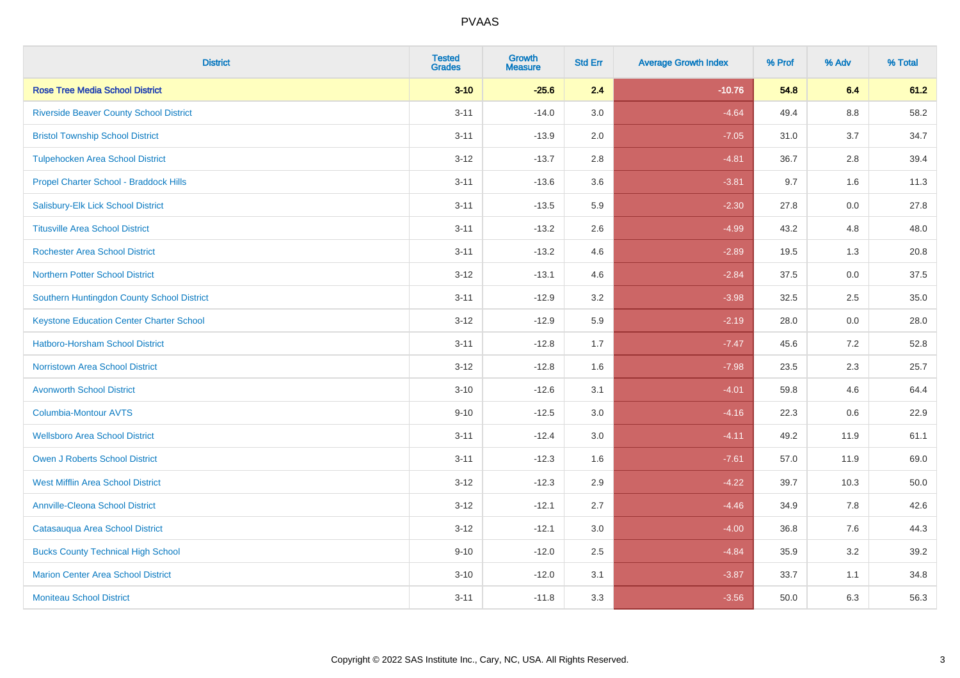| <b>District</b>                                 | <b>Tested</b><br><b>Grades</b> | <b>Growth</b><br><b>Measure</b> | <b>Std Err</b> | <b>Average Growth Index</b> | % Prof | % Adv   | % Total |
|-------------------------------------------------|--------------------------------|---------------------------------|----------------|-----------------------------|--------|---------|---------|
| <b>Rose Tree Media School District</b>          | $3 - 10$                       | $-25.6$                         | 2.4            | $-10.76$                    | 54.8   | 6.4     | 61.2    |
| <b>Riverside Beaver County School District</b>  | $3 - 11$                       | $-14.0$                         | 3.0            | $-4.64$                     | 49.4   | $8.8\,$ | 58.2    |
| <b>Bristol Township School District</b>         | $3 - 11$                       | $-13.9$                         | 2.0            | $-7.05$                     | 31.0   | 3.7     | 34.7    |
| <b>Tulpehocken Area School District</b>         | $3 - 12$                       | $-13.7$                         | 2.8            | $-4.81$                     | 36.7   | 2.8     | 39.4    |
| Propel Charter School - Braddock Hills          | $3 - 11$                       | $-13.6$                         | 3.6            | $-3.81$                     | 9.7    | 1.6     | 11.3    |
| Salisbury-Elk Lick School District              | $3 - 11$                       | $-13.5$                         | 5.9            | $-2.30$                     | 27.8   | 0.0     | 27.8    |
| <b>Titusville Area School District</b>          | $3 - 11$                       | $-13.2$                         | 2.6            | $-4.99$                     | 43.2   | 4.8     | 48.0    |
| <b>Rochester Area School District</b>           | $3 - 11$                       | $-13.2$                         | 4.6            | $-2.89$                     | 19.5   | 1.3     | 20.8    |
| <b>Northern Potter School District</b>          | $3 - 12$                       | $-13.1$                         | 4.6            | $-2.84$                     | 37.5   | 0.0     | 37.5    |
| Southern Huntingdon County School District      | $3 - 11$                       | $-12.9$                         | 3.2            | $-3.98$                     | 32.5   | 2.5     | 35.0    |
| <b>Keystone Education Center Charter School</b> | $3 - 12$                       | $-12.9$                         | 5.9            | $-2.19$                     | 28.0   | 0.0     | 28.0    |
| <b>Hatboro-Horsham School District</b>          | $3 - 11$                       | $-12.8$                         | 1.7            | $-7.47$                     | 45.6   | 7.2     | 52.8    |
| <b>Norristown Area School District</b>          | $3 - 12$                       | $-12.8$                         | 1.6            | $-7.98$                     | 23.5   | 2.3     | 25.7    |
| <b>Avonworth School District</b>                | $3 - 10$                       | $-12.6$                         | 3.1            | $-4.01$                     | 59.8   | 4.6     | 64.4    |
| <b>Columbia-Montour AVTS</b>                    | $9 - 10$                       | $-12.5$                         | 3.0            | $-4.16$                     | 22.3   | 0.6     | 22.9    |
| <b>Wellsboro Area School District</b>           | $3 - 11$                       | $-12.4$                         | 3.0            | $-4.11$                     | 49.2   | 11.9    | 61.1    |
| Owen J Roberts School District                  | $3 - 11$                       | $-12.3$                         | 1.6            | $-7.61$                     | 57.0   | 11.9    | 69.0    |
| <b>West Mifflin Area School District</b>        | $3 - 12$                       | $-12.3$                         | 2.9            | $-4.22$                     | 39.7   | 10.3    | 50.0    |
| <b>Annville-Cleona School District</b>          | $3 - 12$                       | $-12.1$                         | 2.7            | $-4.46$                     | 34.9   | 7.8     | 42.6    |
| Catasauqua Area School District                 | $3 - 12$                       | $-12.1$                         | 3.0            | $-4.00$                     | 36.8   | 7.6     | 44.3    |
| <b>Bucks County Technical High School</b>       | $9 - 10$                       | $-12.0$                         | 2.5            | $-4.84$                     | 35.9   | 3.2     | 39.2    |
| <b>Marion Center Area School District</b>       | $3 - 10$                       | $-12.0$                         | 3.1            | $-3.87$                     | 33.7   | 1.1     | 34.8    |
| <b>Moniteau School District</b>                 | $3 - 11$                       | $-11.8$                         | 3.3            | $-3.56$                     | 50.0   | 6.3     | 56.3    |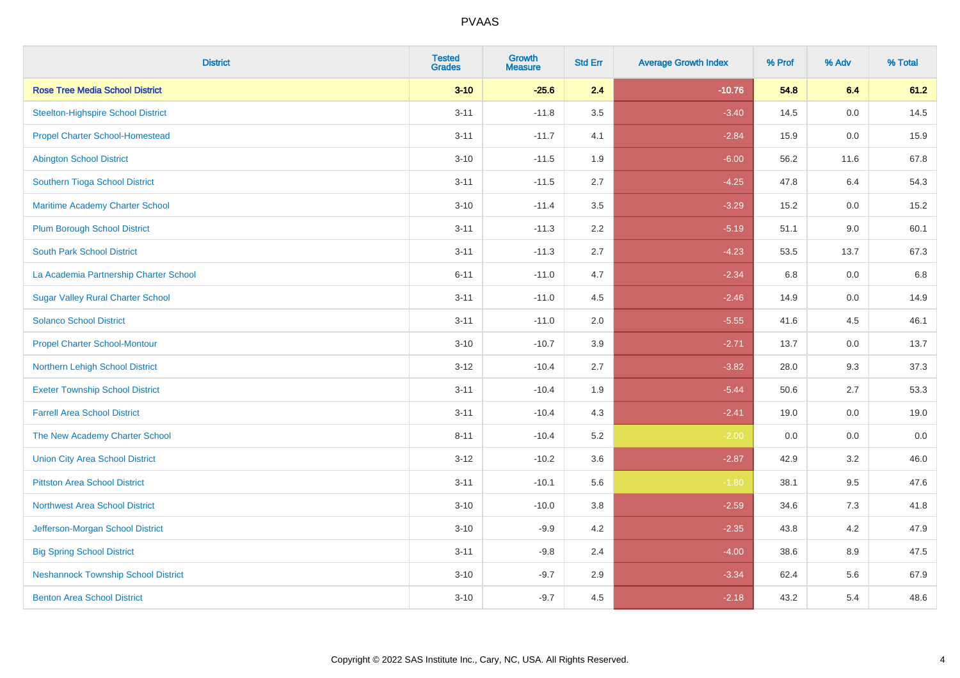| <b>District</b>                            | <b>Tested</b><br><b>Grades</b> | Growth<br><b>Measure</b> | <b>Std Err</b> | <b>Average Growth Index</b> | % Prof | % Adv | % Total |
|--------------------------------------------|--------------------------------|--------------------------|----------------|-----------------------------|--------|-------|---------|
| <b>Rose Tree Media School District</b>     | $3 - 10$                       | $-25.6$                  | 2.4            | $-10.76$                    | 54.8   | 6.4   | 61.2    |
| <b>Steelton-Highspire School District</b>  | $3 - 11$                       | $-11.8$                  | 3.5            | $-3.40$                     | 14.5   | 0.0   | 14.5    |
| <b>Propel Charter School-Homestead</b>     | $3 - 11$                       | $-11.7$                  | 4.1            | $-2.84$                     | 15.9   | 0.0   | 15.9    |
| <b>Abington School District</b>            | $3 - 10$                       | $-11.5$                  | 1.9            | $-6.00$                     | 56.2   | 11.6  | 67.8    |
| Southern Tioga School District             | $3 - 11$                       | $-11.5$                  | 2.7            | $-4.25$                     | 47.8   | 6.4   | 54.3    |
| Maritime Academy Charter School            | $3 - 10$                       | $-11.4$                  | 3.5            | $-3.29$                     | 15.2   | 0.0   | 15.2    |
| <b>Plum Borough School District</b>        | $3 - 11$                       | $-11.3$                  | 2.2            | $-5.19$                     | 51.1   | 9.0   | 60.1    |
| <b>South Park School District</b>          | $3 - 11$                       | $-11.3$                  | 2.7            | $-4.23$                     | 53.5   | 13.7  | 67.3    |
| La Academia Partnership Charter School     | $6 - 11$                       | $-11.0$                  | 4.7            | $-2.34$                     | 6.8    | 0.0   | 6.8     |
| <b>Sugar Valley Rural Charter School</b>   | $3 - 11$                       | $-11.0$                  | 4.5            | $-2.46$                     | 14.9   | 0.0   | 14.9    |
| <b>Solanco School District</b>             | $3 - 11$                       | $-11.0$                  | 2.0            | $-5.55$                     | 41.6   | 4.5   | 46.1    |
| <b>Propel Charter School-Montour</b>       | $3 - 10$                       | $-10.7$                  | 3.9            | $-2.71$                     | 13.7   | 0.0   | 13.7    |
| Northern Lehigh School District            | $3 - 12$                       | $-10.4$                  | 2.7            | $-3.82$                     | 28.0   | 9.3   | 37.3    |
| <b>Exeter Township School District</b>     | $3 - 11$                       | $-10.4$                  | 1.9            | $-5.44$                     | 50.6   | 2.7   | 53.3    |
| <b>Farrell Area School District</b>        | $3 - 11$                       | $-10.4$                  | 4.3            | $-2.41$                     | 19.0   | 0.0   | 19.0    |
| The New Academy Charter School             | $8 - 11$                       | $-10.4$                  | 5.2            | $-2.00$                     | 0.0    | 0.0   | $0.0\,$ |
| <b>Union City Area School District</b>     | $3 - 12$                       | $-10.2$                  | 3.6            | $-2.87$                     | 42.9   | 3.2   | 46.0    |
| <b>Pittston Area School District</b>       | $3 - 11$                       | $-10.1$                  | 5.6            | $-1.80$                     | 38.1   | 9.5   | 47.6    |
| <b>Northwest Area School District</b>      | $3 - 10$                       | $-10.0$                  | 3.8            | $-2.59$                     | 34.6   | 7.3   | 41.8    |
| Jefferson-Morgan School District           | $3 - 10$                       | $-9.9$                   | 4.2            | $-2.35$                     | 43.8   | 4.2   | 47.9    |
| <b>Big Spring School District</b>          | $3 - 11$                       | $-9.8$                   | 2.4            | $-4.00$                     | 38.6   | 8.9   | 47.5    |
| <b>Neshannock Township School District</b> | $3 - 10$                       | $-9.7$                   | 2.9            | $-3.34$                     | 62.4   | 5.6   | 67.9    |
| <b>Benton Area School District</b>         | $3 - 10$                       | $-9.7$                   | 4.5            | $-2.18$                     | 43.2   | 5.4   | 48.6    |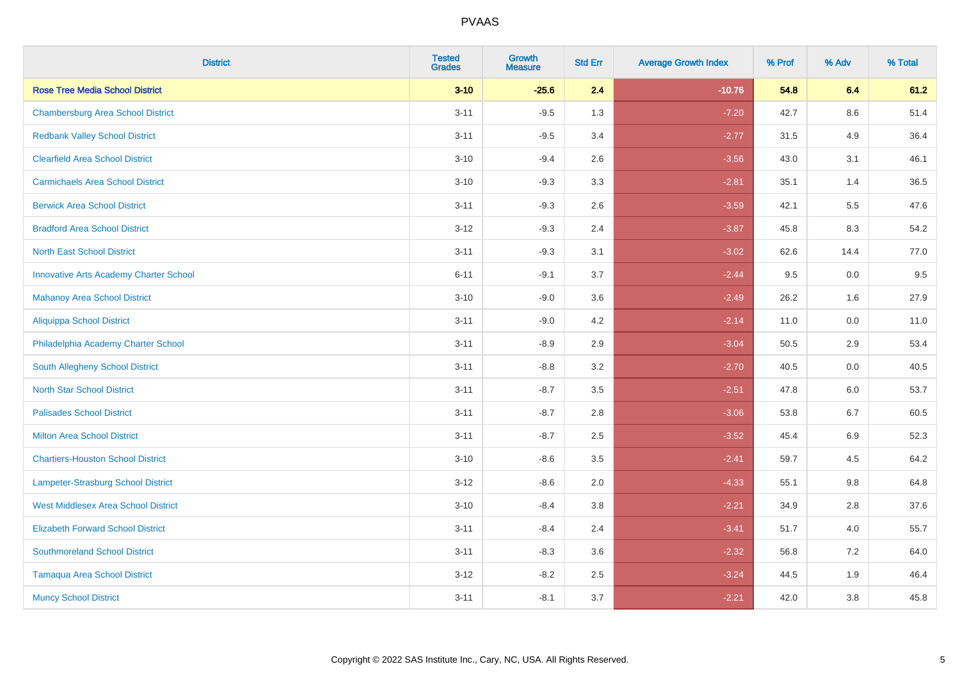| <b>District</b>                               | <b>Tested</b><br><b>Grades</b> | <b>Growth</b><br><b>Measure</b> | <b>Std Err</b> | <b>Average Growth Index</b> | % Prof | % Adv   | % Total |
|-----------------------------------------------|--------------------------------|---------------------------------|----------------|-----------------------------|--------|---------|---------|
| <b>Rose Tree Media School District</b>        | $3 - 10$                       | $-25.6$                         | 2.4            | $-10.76$                    | 54.8   | 6.4     | 61.2    |
| <b>Chambersburg Area School District</b>      | $3 - 11$                       | $-9.5$                          | 1.3            | $-7.20$                     | 42.7   | $8.6\,$ | 51.4    |
| <b>Redbank Valley School District</b>         | $3 - 11$                       | $-9.5$                          | 3.4            | $-2.77$                     | 31.5   | 4.9     | 36.4    |
| <b>Clearfield Area School District</b>        | $3 - 10$                       | $-9.4$                          | 2.6            | $-3.56$                     | 43.0   | 3.1     | 46.1    |
| <b>Carmichaels Area School District</b>       | $3 - 10$                       | $-9.3$                          | 3.3            | $-2.81$                     | 35.1   | 1.4     | 36.5    |
| <b>Berwick Area School District</b>           | $3 - 11$                       | $-9.3$                          | 2.6            | $-3.59$                     | 42.1   | 5.5     | 47.6    |
| <b>Bradford Area School District</b>          | $3 - 12$                       | $-9.3$                          | 2.4            | $-3.87$                     | 45.8   | 8.3     | 54.2    |
| <b>North East School District</b>             | $3 - 11$                       | $-9.3$                          | 3.1            | $-3.02$                     | 62.6   | 14.4    | 77.0    |
| <b>Innovative Arts Academy Charter School</b> | $6 - 11$                       | $-9.1$                          | 3.7            | $-2.44$                     | 9.5    | 0.0     | 9.5     |
| <b>Mahanoy Area School District</b>           | $3 - 10$                       | $-9.0$                          | 3.6            | $-2.49$                     | 26.2   | 1.6     | 27.9    |
| <b>Aliquippa School District</b>              | $3 - 11$                       | $-9.0$                          | 4.2            | $-2.14$                     | 11.0   | 0.0     | 11.0    |
| Philadelphia Academy Charter School           | $3 - 11$                       | $-8.9$                          | 2.9            | $-3.04$                     | 50.5   | 2.9     | 53.4    |
| South Allegheny School District               | $3 - 11$                       | $-8.8$                          | 3.2            | $-2.70$                     | 40.5   | 0.0     | 40.5    |
| <b>North Star School District</b>             | $3 - 11$                       | $-8.7$                          | 3.5            | $-2.51$                     | 47.8   | 6.0     | 53.7    |
| <b>Palisades School District</b>              | $3 - 11$                       | $-8.7$                          | 2.8            | $-3.06$                     | 53.8   | 6.7     | 60.5    |
| <b>Milton Area School District</b>            | $3 - 11$                       | $-8.7$                          | 2.5            | $-3.52$                     | 45.4   | 6.9     | 52.3    |
| <b>Chartiers-Houston School District</b>      | $3 - 10$                       | $-8.6$                          | 3.5            | $-2.41$                     | 59.7   | 4.5     | 64.2    |
| Lampeter-Strasburg School District            | $3 - 12$                       | $-8.6$                          | 2.0            | $-4.33$                     | 55.1   | 9.8     | 64.8    |
| <b>West Middlesex Area School District</b>    | $3 - 10$                       | $-8.4$                          | 3.8            | $-2.21$                     | 34.9   | 2.8     | 37.6    |
| <b>Elizabeth Forward School District</b>      | $3 - 11$                       | $-8.4$                          | 2.4            | $-3.41$                     | 51.7   | 4.0     | 55.7    |
| <b>Southmoreland School District</b>          | $3 - 11$                       | $-8.3$                          | 3.6            | $-2.32$                     | 56.8   | 7.2     | 64.0    |
| <b>Tamaqua Area School District</b>           | $3 - 12$                       | $-8.2$                          | 2.5            | $-3.24$                     | 44.5   | 1.9     | 46.4    |
| <b>Muncy School District</b>                  | $3 - 11$                       | $-8.1$                          | 3.7            | $-2.21$                     | 42.0   | 3.8     | 45.8    |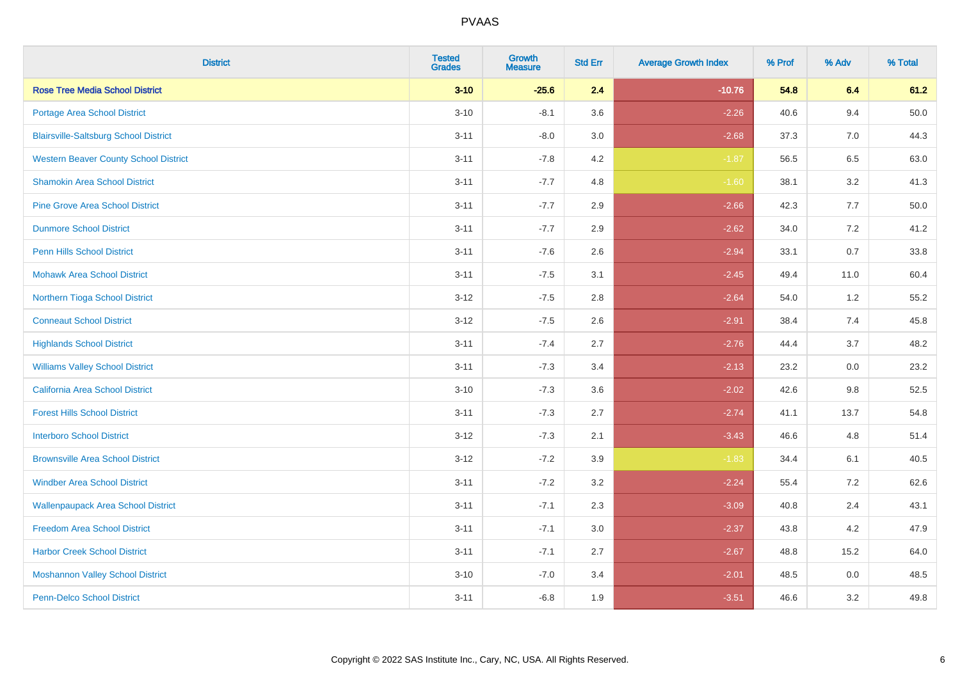| <b>District</b>                              | <b>Tested</b><br><b>Grades</b> | <b>Growth</b><br><b>Measure</b> | <b>Std Err</b> | <b>Average Growth Index</b> | % Prof | % Adv   | % Total |
|----------------------------------------------|--------------------------------|---------------------------------|----------------|-----------------------------|--------|---------|---------|
| <b>Rose Tree Media School District</b>       | $3 - 10$                       | $-25.6$                         | 2.4            | $-10.76$                    | 54.8   | 6.4     | 61.2    |
| Portage Area School District                 | $3 - 10$                       | $-8.1$                          | 3.6            | $-2.26$                     | 40.6   | 9.4     | 50.0    |
| <b>Blairsville-Saltsburg School District</b> | $3 - 11$                       | $-8.0$                          | 3.0            | $-2.68$                     | 37.3   | 7.0     | 44.3    |
| <b>Western Beaver County School District</b> | $3 - 11$                       | $-7.8$                          | 4.2            | $-1.87$                     | 56.5   | 6.5     | 63.0    |
| <b>Shamokin Area School District</b>         | $3 - 11$                       | $-7.7$                          | 4.8            | $-1.60$                     | 38.1   | 3.2     | 41.3    |
| <b>Pine Grove Area School District</b>       | $3 - 11$                       | $-7.7$                          | 2.9            | $-2.66$                     | 42.3   | 7.7     | 50.0    |
| <b>Dunmore School District</b>               | $3 - 11$                       | $-7.7$                          | 2.9            | $-2.62$                     | 34.0   | $7.2\,$ | 41.2    |
| <b>Penn Hills School District</b>            | $3 - 11$                       | $-7.6$                          | 2.6            | $-2.94$                     | 33.1   | 0.7     | 33.8    |
| <b>Mohawk Area School District</b>           | $3 - 11$                       | $-7.5$                          | 3.1            | $-2.45$                     | 49.4   | 11.0    | 60.4    |
| Northern Tioga School District               | $3 - 12$                       | $-7.5$                          | 2.8            | $-2.64$                     | 54.0   | 1.2     | 55.2    |
| <b>Conneaut School District</b>              | $3 - 12$                       | $-7.5$                          | 2.6            | $-2.91$                     | 38.4   | 7.4     | 45.8    |
| <b>Highlands School District</b>             | $3 - 11$                       | $-7.4$                          | 2.7            | $-2.76$                     | 44.4   | 3.7     | 48.2    |
| <b>Williams Valley School District</b>       | $3 - 11$                       | $-7.3$                          | 3.4            | $-2.13$                     | 23.2   | 0.0     | 23.2    |
| California Area School District              | $3 - 10$                       | $-7.3$                          | 3.6            | $-2.02$                     | 42.6   | $9.8\,$ | 52.5    |
| <b>Forest Hills School District</b>          | $3 - 11$                       | $-7.3$                          | 2.7            | $-2.74$                     | 41.1   | 13.7    | 54.8    |
| <b>Interboro School District</b>             | $3 - 12$                       | $-7.3$                          | 2.1            | $-3.43$                     | 46.6   | 4.8     | 51.4    |
| <b>Brownsville Area School District</b>      | $3 - 12$                       | $-7.2$                          | 3.9            | $-1.83$                     | 34.4   | 6.1     | 40.5    |
| <b>Windber Area School District</b>          | $3 - 11$                       | $-7.2$                          | 3.2            | $-2.24$                     | 55.4   | 7.2     | 62.6    |
| <b>Wallenpaupack Area School District</b>    | $3 - 11$                       | $-7.1$                          | 2.3            | $-3.09$                     | 40.8   | 2.4     | 43.1    |
| Freedom Area School District                 | $3 - 11$                       | $-7.1$                          | $3.0\,$        | $-2.37$                     | 43.8   | 4.2     | 47.9    |
| <b>Harbor Creek School District</b>          | $3 - 11$                       | $-7.1$                          | 2.7            | $-2.67$                     | 48.8   | 15.2    | 64.0    |
| <b>Moshannon Valley School District</b>      | $3 - 10$                       | $-7.0$                          | 3.4            | $-2.01$                     | 48.5   | $0.0\,$ | 48.5    |
| Penn-Delco School District                   | $3 - 11$                       | $-6.8$                          | 1.9            | $-3.51$                     | 46.6   | 3.2     | 49.8    |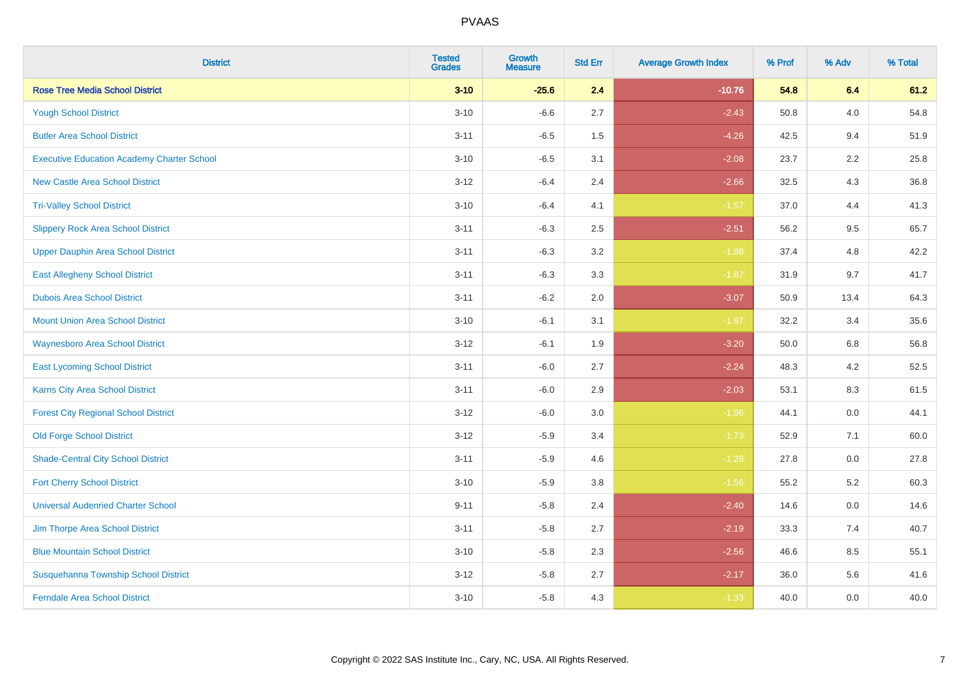| <b>District</b>                                   | <b>Tested</b><br><b>Grades</b> | <b>Growth</b><br><b>Measure</b> | <b>Std Err</b> | <b>Average Growth Index</b> | % Prof | % Adv   | % Total |
|---------------------------------------------------|--------------------------------|---------------------------------|----------------|-----------------------------|--------|---------|---------|
| <b>Rose Tree Media School District</b>            | $3 - 10$                       | $-25.6$                         | 2.4            | $-10.76$                    | 54.8   | 6.4     | 61.2    |
| <b>Yough School District</b>                      | $3 - 10$                       | $-6.6$                          | 2.7            | $-2.43$                     | 50.8   | 4.0     | 54.8    |
| <b>Butler Area School District</b>                | $3 - 11$                       | $-6.5$                          | 1.5            | $-4.26$                     | 42.5   | 9.4     | 51.9    |
| <b>Executive Education Academy Charter School</b> | $3 - 10$                       | $-6.5$                          | 3.1            | $-2.08$                     | 23.7   | 2.2     | 25.8    |
| <b>New Castle Area School District</b>            | $3 - 12$                       | $-6.4$                          | 2.4            | $-2.66$                     | 32.5   | 4.3     | 36.8    |
| <b>Tri-Valley School District</b>                 | $3 - 10$                       | $-6.4$                          | 4.1            | $-1.57$                     | 37.0   | 4.4     | 41.3    |
| <b>Slippery Rock Area School District</b>         | $3 - 11$                       | $-6.3$                          | 2.5            | $-2.51$                     | 56.2   | 9.5     | 65.7    |
| <b>Upper Dauphin Area School District</b>         | $3 - 11$                       | $-6.3$                          | 3.2            | $-1.98$                     | 37.4   | 4.8     | 42.2    |
| <b>East Allegheny School District</b>             | $3 - 11$                       | $-6.3$                          | 3.3            | $-1.87$                     | 31.9   | 9.7     | 41.7    |
| <b>Dubois Area School District</b>                | $3 - 11$                       | $-6.2$                          | 2.0            | $-3.07$                     | 50.9   | 13.4    | 64.3    |
| <b>Mount Union Area School District</b>           | $3 - 10$                       | $-6.1$                          | 3.1            | $-1.97$                     | 32.2   | 3.4     | 35.6    |
| Waynesboro Area School District                   | $3 - 12$                       | $-6.1$                          | 1.9            | $-3.20$                     | 50.0   | 6.8     | 56.8    |
| <b>East Lycoming School District</b>              | $3 - 11$                       | $-6.0$                          | 2.7            | $-2.24$                     | 48.3   | $4.2\,$ | 52.5    |
| <b>Karns City Area School District</b>            | $3 - 11$                       | $-6.0$                          | 2.9            | $-2.03$                     | 53.1   | 8.3     | 61.5    |
| <b>Forest City Regional School District</b>       | $3 - 12$                       | $-6.0$                          | 3.0            | $-1.96$                     | 44.1   | 0.0     | 44.1    |
| <b>Old Forge School District</b>                  | $3 - 12$                       | $-5.9$                          | 3.4            | $-1.73$                     | 52.9   | 7.1     | 60.0    |
| <b>Shade-Central City School District</b>         | $3 - 11$                       | $-5.9$                          | 4.6            | $-1.28$                     | 27.8   | 0.0     | 27.8    |
| <b>Fort Cherry School District</b>                | $3 - 10$                       | $-5.9$                          | 3.8            | $-1.56$                     | 55.2   | 5.2     | 60.3    |
| <b>Universal Audenried Charter School</b>         | $9 - 11$                       | $-5.8$                          | 2.4            | $-2.40$                     | 14.6   | 0.0     | 14.6    |
| Jim Thorpe Area School District                   | $3 - 11$                       | $-5.8$                          | 2.7            | $-2.19$                     | 33.3   | 7.4     | 40.7    |
| <b>Blue Mountain School District</b>              | $3 - 10$                       | $-5.8$                          | 2.3            | $-2.56$                     | 46.6   | 8.5     | 55.1    |
| Susquehanna Township School District              | $3 - 12$                       | $-5.8$                          | 2.7            | $-2.17$                     | 36.0   | 5.6     | 41.6    |
| <b>Ferndale Area School District</b>              | $3 - 10$                       | $-5.8$                          | 4.3            | $-1.33$                     | 40.0   | 0.0     | 40.0    |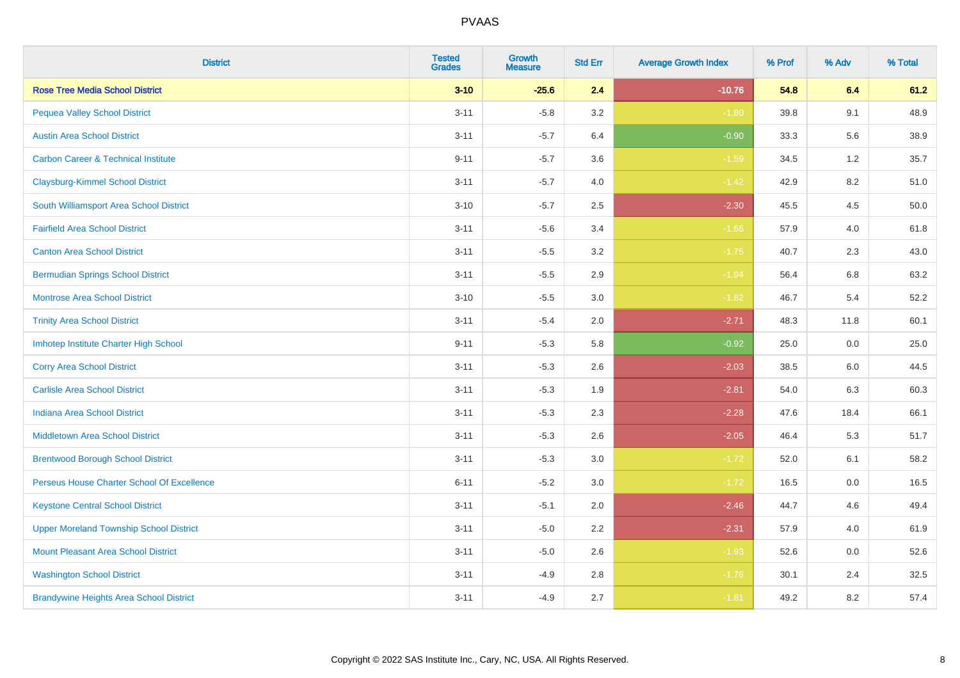| <b>District</b>                                | <b>Tested</b><br><b>Grades</b> | Growth<br><b>Measure</b> | <b>Std Err</b> | <b>Average Growth Index</b> | % Prof | % Adv   | % Total |
|------------------------------------------------|--------------------------------|--------------------------|----------------|-----------------------------|--------|---------|---------|
| <b>Rose Tree Media School District</b>         | $3 - 10$                       | $-25.6$                  | 2.4            | $-10.76$                    | 54.8   | 6.4     | 61.2    |
| <b>Pequea Valley School District</b>           | $3 - 11$                       | $-5.8$                   | 3.2            | $-1.80$                     | 39.8   | 9.1     | 48.9    |
| <b>Austin Area School District</b>             | $3 - 11$                       | $-5.7$                   | 6.4            | $-0.90$                     | 33.3   | 5.6     | 38.9    |
| <b>Carbon Career &amp; Technical Institute</b> | $9 - 11$                       | $-5.7$                   | 3.6            | $-1.59$                     | 34.5   | $1.2\,$ | 35.7    |
| <b>Claysburg-Kimmel School District</b>        | $3 - 11$                       | $-5.7$                   | 4.0            | $-1.42$                     | 42.9   | 8.2     | 51.0    |
| South Williamsport Area School District        | $3 - 10$                       | $-5.7$                   | 2.5            | $-2.30$                     | 45.5   | 4.5     | 50.0    |
| <b>Fairfield Area School District</b>          | $3 - 11$                       | $-5.6$                   | 3.4            | $-1.66$                     | 57.9   | 4.0     | 61.8    |
| <b>Canton Area School District</b>             | $3 - 11$                       | $-5.5$                   | 3.2            | $-1.75$                     | 40.7   | 2.3     | 43.0    |
| <b>Bermudian Springs School District</b>       | $3 - 11$                       | $-5.5$                   | 2.9            | $-1.94$                     | 56.4   | 6.8     | 63.2    |
| <b>Montrose Area School District</b>           | $3 - 10$                       | $-5.5$                   | 3.0            | $-1.82$                     | 46.7   | 5.4     | 52.2    |
| <b>Trinity Area School District</b>            | $3 - 11$                       | $-5.4$                   | 2.0            | $-2.71$                     | 48.3   | 11.8    | 60.1    |
| Imhotep Institute Charter High School          | $9 - 11$                       | $-5.3$                   | 5.8            | $-0.92$                     | 25.0   | 0.0     | 25.0    |
| <b>Corry Area School District</b>              | $3 - 11$                       | $-5.3$                   | 2.6            | $-2.03$                     | 38.5   | 6.0     | 44.5    |
| <b>Carlisle Area School District</b>           | $3 - 11$                       | $-5.3$                   | 1.9            | $-2.81$                     | 54.0   | 6.3     | 60.3    |
| <b>Indiana Area School District</b>            | $3 - 11$                       | $-5.3$                   | 2.3            | $-2.28$                     | 47.6   | 18.4    | 66.1    |
| <b>Middletown Area School District</b>         | $3 - 11$                       | $-5.3$                   | 2.6            | $-2.05$                     | 46.4   | 5.3     | 51.7    |
| <b>Brentwood Borough School District</b>       | $3 - 11$                       | $-5.3$                   | 3.0            | $-1.72$                     | 52.0   | 6.1     | 58.2    |
| Perseus House Charter School Of Excellence     | $6 - 11$                       | $-5.2$                   | 3.0            | $-1.72$                     | 16.5   | 0.0     | 16.5    |
| <b>Keystone Central School District</b>        | $3 - 11$                       | $-5.1$                   | 2.0            | $-2.46$                     | 44.7   | 4.6     | 49.4    |
| <b>Upper Moreland Township School District</b> | $3 - 11$                       | $-5.0$                   | 2.2            | $-2.31$                     | 57.9   | 4.0     | 61.9    |
| <b>Mount Pleasant Area School District</b>     | $3 - 11$                       | $-5.0$                   | 2.6            | $-1.93$                     | 52.6   | 0.0     | 52.6    |
| <b>Washington School District</b>              | $3 - 11$                       | $-4.9$                   | 2.8            | $-1.76$                     | 30.1   | 2.4     | 32.5    |
| <b>Brandywine Heights Area School District</b> | $3 - 11$                       | $-4.9$                   | 2.7            | $-1.81$                     | 49.2   | 8.2     | 57.4    |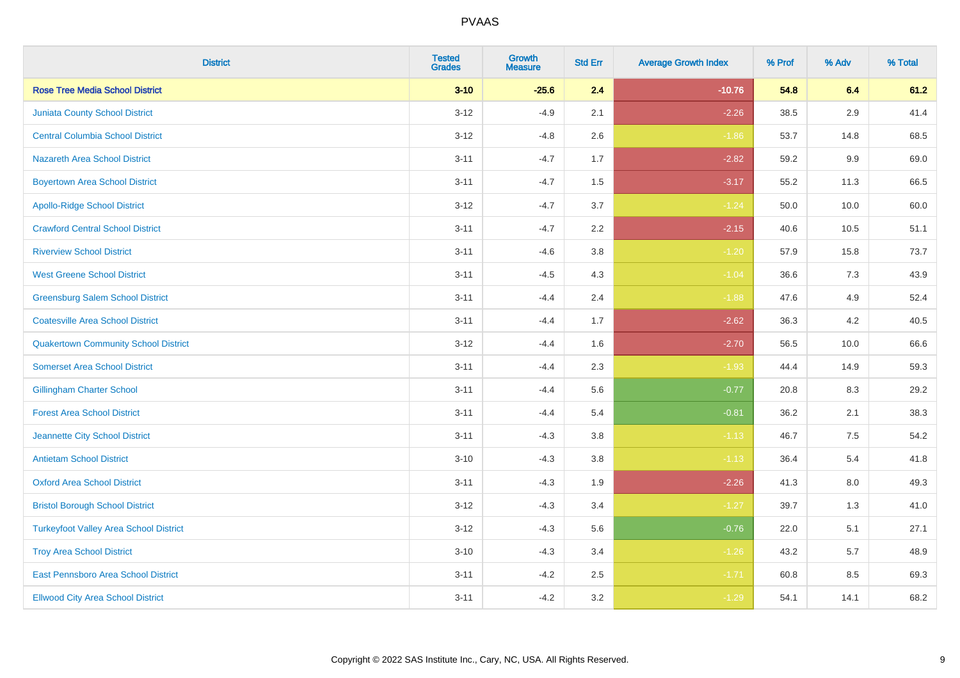| <b>District</b>                               | <b>Tested</b><br><b>Grades</b> | <b>Growth</b><br><b>Measure</b> | <b>Std Err</b> | <b>Average Growth Index</b> | % Prof | % Adv   | % Total |
|-----------------------------------------------|--------------------------------|---------------------------------|----------------|-----------------------------|--------|---------|---------|
| <b>Rose Tree Media School District</b>        | $3 - 10$                       | $-25.6$                         | 2.4            | $-10.76$                    | 54.8   | 6.4     | 61.2    |
| <b>Juniata County School District</b>         | $3 - 12$                       | $-4.9$                          | 2.1            | $-2.26$                     | 38.5   | 2.9     | 41.4    |
| <b>Central Columbia School District</b>       | $3 - 12$                       | $-4.8$                          | 2.6            | $-1.86$                     | 53.7   | 14.8    | 68.5    |
| <b>Nazareth Area School District</b>          | $3 - 11$                       | $-4.7$                          | 1.7            | $-2.82$                     | 59.2   | $9.9\,$ | 69.0    |
| <b>Boyertown Area School District</b>         | $3 - 11$                       | $-4.7$                          | 1.5            | $-3.17$                     | 55.2   | 11.3    | 66.5    |
| <b>Apollo-Ridge School District</b>           | $3 - 12$                       | $-4.7$                          | 3.7            | $-1.24$                     | 50.0   | 10.0    | 60.0    |
| <b>Crawford Central School District</b>       | $3 - 11$                       | $-4.7$                          | 2.2            | $-2.15$                     | 40.6   | 10.5    | 51.1    |
| <b>Riverview School District</b>              | $3 - 11$                       | $-4.6$                          | 3.8            | $-1.20$                     | 57.9   | 15.8    | 73.7    |
| <b>West Greene School District</b>            | $3 - 11$                       | $-4.5$                          | 4.3            | $-1.04$                     | 36.6   | 7.3     | 43.9    |
| <b>Greensburg Salem School District</b>       | $3 - 11$                       | $-4.4$                          | 2.4            | $-1.88$                     | 47.6   | 4.9     | 52.4    |
| <b>Coatesville Area School District</b>       | $3 - 11$                       | $-4.4$                          | 1.7            | $-2.62$                     | 36.3   | 4.2     | 40.5    |
| <b>Quakertown Community School District</b>   | $3 - 12$                       | $-4.4$                          | 1.6            | $-2.70$                     | 56.5   | 10.0    | 66.6    |
| <b>Somerset Area School District</b>          | $3 - 11$                       | $-4.4$                          | 2.3            | $-1.93$                     | 44.4   | 14.9    | 59.3    |
| <b>Gillingham Charter School</b>              | $3 - 11$                       | $-4.4$                          | 5.6            | $-0.77$                     | 20.8   | 8.3     | 29.2    |
| <b>Forest Area School District</b>            | $3 - 11$                       | $-4.4$                          | 5.4            | $-0.81$                     | 36.2   | 2.1     | 38.3    |
| Jeannette City School District                | $3 - 11$                       | $-4.3$                          | 3.8            | $-1.13$                     | 46.7   | $7.5\,$ | 54.2    |
| <b>Antietam School District</b>               | $3 - 10$                       | $-4.3$                          | 3.8            | $-1.13$                     | 36.4   | $5.4$   | 41.8    |
| <b>Oxford Area School District</b>            | $3 - 11$                       | $-4.3$                          | 1.9            | $-2.26$                     | 41.3   | 8.0     | 49.3    |
| <b>Bristol Borough School District</b>        | $3 - 12$                       | $-4.3$                          | 3.4            | $-1.27$                     | 39.7   | 1.3     | 41.0    |
| <b>Turkeyfoot Valley Area School District</b> | $3 - 12$                       | $-4.3$                          | 5.6            | $-0.76$                     | 22.0   | 5.1     | 27.1    |
| <b>Troy Area School District</b>              | $3 - 10$                       | $-4.3$                          | 3.4            | $-1.26$                     | 43.2   | 5.7     | 48.9    |
| East Pennsboro Area School District           | $3 - 11$                       | $-4.2$                          | 2.5            | $-1.71$                     | 60.8   | 8.5     | 69.3    |
| <b>Ellwood City Area School District</b>      | $3 - 11$                       | $-4.2$                          | 3.2            | $-1.29$                     | 54.1   | 14.1    | 68.2    |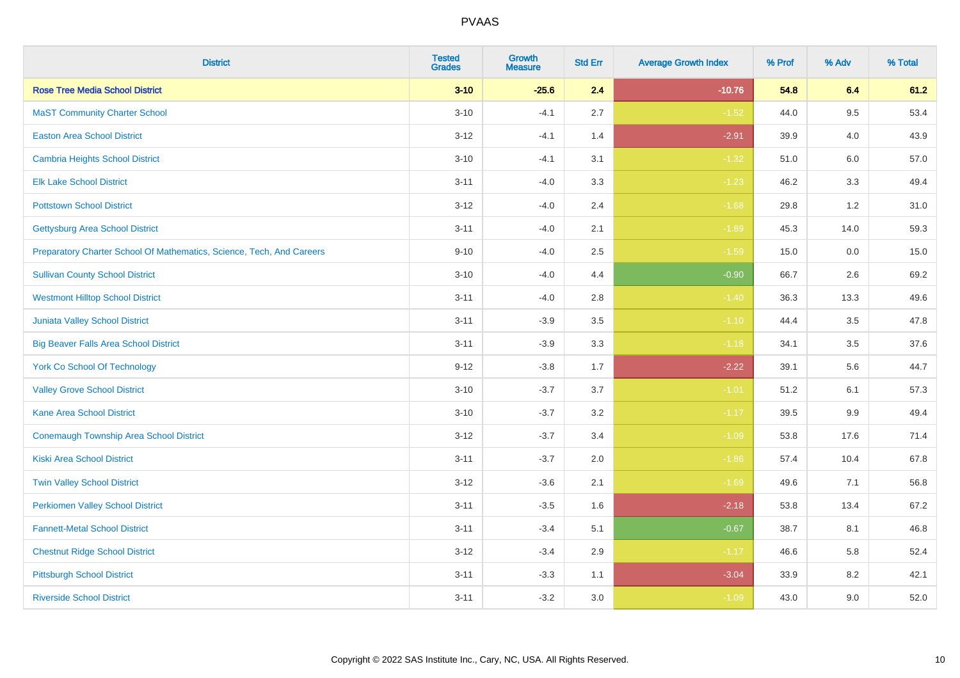| <b>District</b>                                                       | <b>Tested</b><br><b>Grades</b> | <b>Growth</b><br><b>Measure</b> | <b>Std Err</b> | <b>Average Growth Index</b> | % Prof | % Adv   | % Total |
|-----------------------------------------------------------------------|--------------------------------|---------------------------------|----------------|-----------------------------|--------|---------|---------|
| <b>Rose Tree Media School District</b>                                | $3 - 10$                       | $-25.6$                         | 2.4            | $-10.76$                    | 54.8   | 6.4     | 61.2    |
| <b>MaST Community Charter School</b>                                  | $3 - 10$                       | $-4.1$                          | 2.7            | $-1.52$                     | 44.0   | 9.5     | 53.4    |
| <b>Easton Area School District</b>                                    | $3 - 12$                       | $-4.1$                          | 1.4            | $-2.91$                     | 39.9   | 4.0     | 43.9    |
| <b>Cambria Heights School District</b>                                | $3 - 10$                       | $-4.1$                          | 3.1            | $-1.32$                     | 51.0   | $6.0\,$ | 57.0    |
| <b>Elk Lake School District</b>                                       | $3 - 11$                       | $-4.0$                          | 3.3            | $-1.23$                     | 46.2   | 3.3     | 49.4    |
| <b>Pottstown School District</b>                                      | $3 - 12$                       | $-4.0$                          | 2.4            | $-1.68$                     | 29.8   | 1.2     | 31.0    |
| <b>Gettysburg Area School District</b>                                | $3 - 11$                       | $-4.0$                          | 2.1            | $-1.89$                     | 45.3   | 14.0    | 59.3    |
| Preparatory Charter School Of Mathematics, Science, Tech, And Careers | $9 - 10$                       | $-4.0$                          | 2.5            | $-1.59$                     | 15.0   | 0.0     | 15.0    |
| <b>Sullivan County School District</b>                                | $3 - 10$                       | $-4.0$                          | 4.4            | $-0.90$                     | 66.7   | 2.6     | 69.2    |
| <b>Westmont Hilltop School District</b>                               | $3 - 11$                       | $-4.0$                          | 2.8            | $-1.40$                     | 36.3   | 13.3    | 49.6    |
| Juniata Valley School District                                        | $3 - 11$                       | $-3.9$                          | 3.5            | $-1.10$                     | 44.4   | 3.5     | 47.8    |
| <b>Big Beaver Falls Area School District</b>                          | $3 - 11$                       | $-3.9$                          | 3.3            | $-1.18$                     | 34.1   | 3.5     | 37.6    |
| <b>York Co School Of Technology</b>                                   | $9 - 12$                       | $-3.8$                          | 1.7            | $-2.22$                     | 39.1   | 5.6     | 44.7    |
| <b>Valley Grove School District</b>                                   | $3 - 10$                       | $-3.7$                          | 3.7            | $-1.01$                     | 51.2   | 6.1     | 57.3    |
| <b>Kane Area School District</b>                                      | $3 - 10$                       | $-3.7$                          | 3.2            | $-1.17$                     | 39.5   | $9.9\,$ | 49.4    |
| <b>Conemaugh Township Area School District</b>                        | $3 - 12$                       | $-3.7$                          | 3.4            | $-1.09$                     | 53.8   | 17.6    | 71.4    |
| <b>Kiski Area School District</b>                                     | $3 - 11$                       | $-3.7$                          | 2.0            | $-1.86$                     | 57.4   | 10.4    | 67.8    |
| <b>Twin Valley School District</b>                                    | $3 - 12$                       | $-3.6$                          | 2.1            | $-1.69$                     | 49.6   | 7.1     | 56.8    |
| <b>Perkiomen Valley School District</b>                               | $3 - 11$                       | $-3.5$                          | 1.6            | $-2.18$                     | 53.8   | 13.4    | 67.2    |
| <b>Fannett-Metal School District</b>                                  | $3 - 11$                       | $-3.4$                          | 5.1            | $-0.67$                     | 38.7   | 8.1     | 46.8    |
| <b>Chestnut Ridge School District</b>                                 | $3 - 12$                       | $-3.4$                          | 2.9            | $-1.17$                     | 46.6   | 5.8     | 52.4    |
| <b>Pittsburgh School District</b>                                     | $3 - 11$                       | $-3.3$                          | 1.1            | $-3.04$                     | 33.9   | 8.2     | 42.1    |
| <b>Riverside School District</b>                                      | $3 - 11$                       | $-3.2$                          | 3.0            | $-1.09$                     | 43.0   | 9.0     | 52.0    |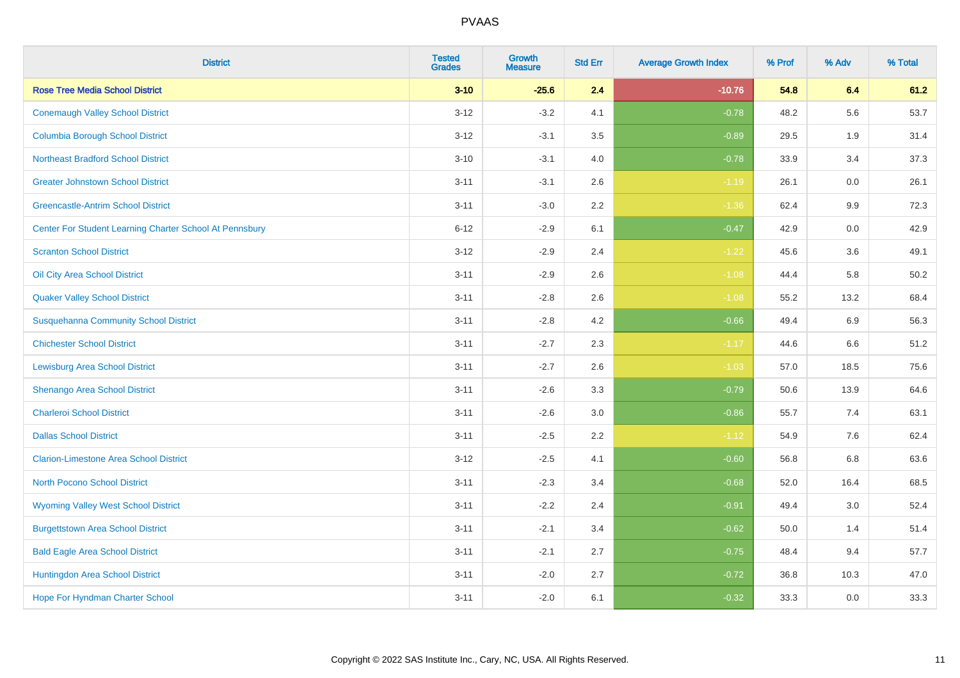| <b>District</b>                                         | <b>Tested</b><br><b>Grades</b> | <b>Growth</b><br><b>Measure</b> | <b>Std Err</b> | <b>Average Growth Index</b> | % Prof | % Adv | % Total |
|---------------------------------------------------------|--------------------------------|---------------------------------|----------------|-----------------------------|--------|-------|---------|
| <b>Rose Tree Media School District</b>                  | $3 - 10$                       | $-25.6$                         | 2.4            | $-10.76$                    | 54.8   | 6.4   | 61.2    |
| <b>Conemaugh Valley School District</b>                 | $3 - 12$                       | $-3.2$                          | 4.1            | $-0.78$                     | 48.2   | 5.6   | 53.7    |
| <b>Columbia Borough School District</b>                 | $3 - 12$                       | $-3.1$                          | 3.5            | $-0.89$                     | 29.5   | 1.9   | 31.4    |
| <b>Northeast Bradford School District</b>               | $3 - 10$                       | $-3.1$                          | 4.0            | $-0.78$                     | 33.9   | 3.4   | 37.3    |
| <b>Greater Johnstown School District</b>                | $3 - 11$                       | $-3.1$                          | 2.6            | $-1.19$                     | 26.1   | 0.0   | 26.1    |
| <b>Greencastle-Antrim School District</b>               | $3 - 11$                       | $-3.0$                          | 2.2            | $-1.36$                     | 62.4   | 9.9   | 72.3    |
| Center For Student Learning Charter School At Pennsbury | $6 - 12$                       | $-2.9$                          | 6.1            | $-0.47$                     | 42.9   | 0.0   | 42.9    |
| <b>Scranton School District</b>                         | $3 - 12$                       | $-2.9$                          | 2.4            | $-1.22$                     | 45.6   | 3.6   | 49.1    |
| Oil City Area School District                           | $3 - 11$                       | $-2.9$                          | 2.6            | $-1.08$                     | 44.4   | 5.8   | 50.2    |
| <b>Quaker Valley School District</b>                    | $3 - 11$                       | $-2.8$                          | 2.6            | $-1.08$                     | 55.2   | 13.2  | 68.4    |
| <b>Susquehanna Community School District</b>            | $3 - 11$                       | $-2.8$                          | 4.2            | $-0.66$                     | 49.4   | 6.9   | 56.3    |
| <b>Chichester School District</b>                       | $3 - 11$                       | $-2.7$                          | 2.3            | $-1.17$                     | 44.6   | 6.6   | 51.2    |
| <b>Lewisburg Area School District</b>                   | $3 - 11$                       | $-2.7$                          | 2.6            | $-1.03$                     | 57.0   | 18.5  | 75.6    |
| Shenango Area School District                           | $3 - 11$                       | $-2.6$                          | 3.3            | $-0.79$                     | 50.6   | 13.9  | 64.6    |
| <b>Charleroi School District</b>                        | $3 - 11$                       | $-2.6$                          | 3.0            | $-0.86$                     | 55.7   | 7.4   | 63.1    |
| <b>Dallas School District</b>                           | $3 - 11$                       | $-2.5$                          | 2.2            | $-1.12$                     | 54.9   | 7.6   | 62.4    |
| <b>Clarion-Limestone Area School District</b>           | $3 - 12$                       | $-2.5$                          | 4.1            | $-0.60$                     | 56.8   | 6.8   | 63.6    |
| <b>North Pocono School District</b>                     | $3 - 11$                       | $-2.3$                          | 3.4            | $-0.68$                     | 52.0   | 16.4  | 68.5    |
| <b>Wyoming Valley West School District</b>              | $3 - 11$                       | $-2.2$                          | 2.4            | $-0.91$                     | 49.4   | 3.0   | 52.4    |
| <b>Burgettstown Area School District</b>                | $3 - 11$                       | $-2.1$                          | 3.4            | $-0.62$                     | 50.0   | 1.4   | 51.4    |
| <b>Bald Eagle Area School District</b>                  | $3 - 11$                       | $-2.1$                          | 2.7            | $-0.75$                     | 48.4   | 9.4   | 57.7    |
| Huntingdon Area School District                         | $3 - 11$                       | $-2.0$                          | 2.7            | $-0.72$                     | 36.8   | 10.3  | 47.0    |
| Hope For Hyndman Charter School                         | $3 - 11$                       | $-2.0$                          | 6.1            | $-0.32$                     | 33.3   | 0.0   | 33.3    |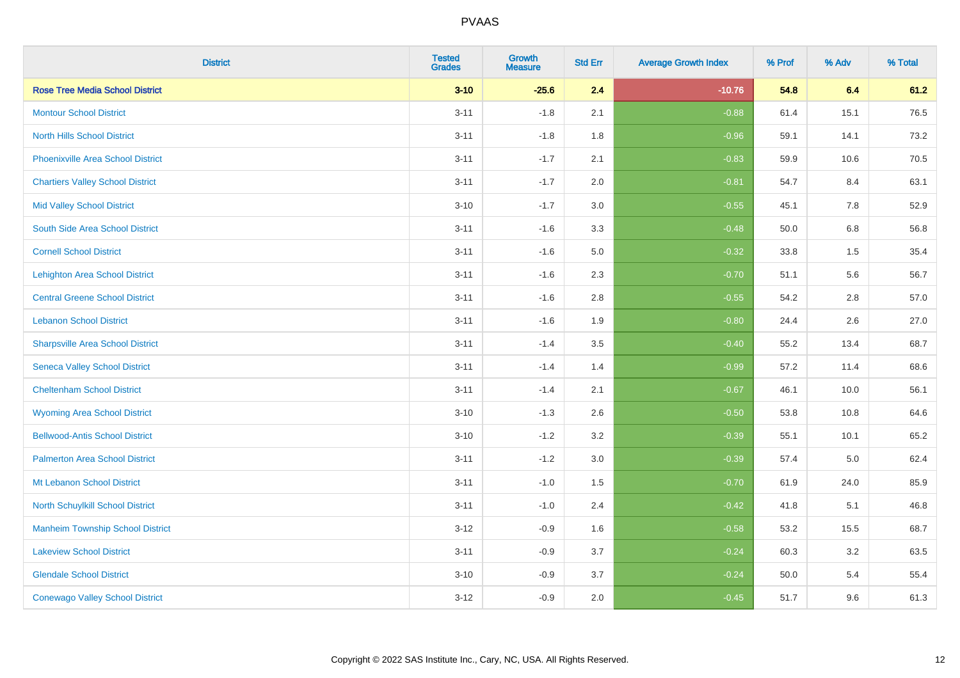| <b>District</b>                          | <b>Tested</b><br><b>Grades</b> | Growth<br><b>Measure</b> | <b>Std Err</b> | <b>Average Growth Index</b> | % Prof | % Adv   | % Total |
|------------------------------------------|--------------------------------|--------------------------|----------------|-----------------------------|--------|---------|---------|
| <b>Rose Tree Media School District</b>   | $3 - 10$                       | $-25.6$                  | 2.4            | $-10.76$                    | 54.8   | 6.4     | 61.2    |
| <b>Montour School District</b>           | $3 - 11$                       | $-1.8$                   | 2.1            | $-0.88$                     | 61.4   | 15.1    | 76.5    |
| <b>North Hills School District</b>       | $3 - 11$                       | $-1.8$                   | 1.8            | $-0.96$                     | 59.1   | 14.1    | 73.2    |
| <b>Phoenixville Area School District</b> | $3 - 11$                       | $-1.7$                   | 2.1            | $-0.83$                     | 59.9   | 10.6    | 70.5    |
| <b>Chartiers Valley School District</b>  | $3 - 11$                       | $-1.7$                   | 2.0            | $-0.81$                     | 54.7   | 8.4     | 63.1    |
| <b>Mid Valley School District</b>        | $3 - 10$                       | $-1.7$                   | 3.0            | $-0.55$                     | 45.1   | 7.8     | 52.9    |
| South Side Area School District          | $3 - 11$                       | $-1.6$                   | 3.3            | $-0.48$                     | 50.0   | $6.8\,$ | 56.8    |
| <b>Cornell School District</b>           | $3 - 11$                       | $-1.6$                   | 5.0            | $-0.32$                     | 33.8   | 1.5     | 35.4    |
| <b>Lehighton Area School District</b>    | $3 - 11$                       | $-1.6$                   | 2.3            | $-0.70$                     | 51.1   | 5.6     | 56.7    |
| <b>Central Greene School District</b>    | $3 - 11$                       | $-1.6$                   | 2.8            | $-0.55$                     | 54.2   | 2.8     | 57.0    |
| <b>Lebanon School District</b>           | $3 - 11$                       | $-1.6$                   | 1.9            | $-0.80$                     | 24.4   | 2.6     | 27.0    |
| <b>Sharpsville Area School District</b>  | $3 - 11$                       | $-1.4$                   | 3.5            | $-0.40$                     | 55.2   | 13.4    | 68.7    |
| <b>Seneca Valley School District</b>     | $3 - 11$                       | $-1.4$                   | 1.4            | $-0.99$                     | 57.2   | 11.4    | 68.6    |
| <b>Cheltenham School District</b>        | $3 - 11$                       | $-1.4$                   | 2.1            | $-0.67$                     | 46.1   | 10.0    | 56.1    |
| <b>Wyoming Area School District</b>      | $3 - 10$                       | $-1.3$                   | 2.6            | $-0.50$                     | 53.8   | 10.8    | 64.6    |
| <b>Bellwood-Antis School District</b>    | $3 - 10$                       | $-1.2$                   | 3.2            | $-0.39$                     | 55.1   | 10.1    | 65.2    |
| <b>Palmerton Area School District</b>    | $3 - 11$                       | $-1.2$                   | 3.0            | $-0.39$                     | 57.4   | 5.0     | 62.4    |
| Mt Lebanon School District               | $3 - 11$                       | $-1.0$                   | 1.5            | $-0.70$                     | 61.9   | 24.0    | 85.9    |
| <b>North Schuylkill School District</b>  | $3 - 11$                       | $-1.0$                   | 2.4            | $-0.42$                     | 41.8   | 5.1     | 46.8    |
| <b>Manheim Township School District</b>  | $3 - 12$                       | $-0.9$                   | 1.6            | $-0.58$                     | 53.2   | 15.5    | 68.7    |
| <b>Lakeview School District</b>          | $3 - 11$                       | $-0.9$                   | 3.7            | $-0.24$                     | 60.3   | 3.2     | 63.5    |
| <b>Glendale School District</b>          | $3 - 10$                       | $-0.9$                   | 3.7            | $-0.24$                     | 50.0   | 5.4     | 55.4    |
| <b>Conewago Valley School District</b>   | $3 - 12$                       | $-0.9$                   | 2.0            | $-0.45$                     | 51.7   | 9.6     | 61.3    |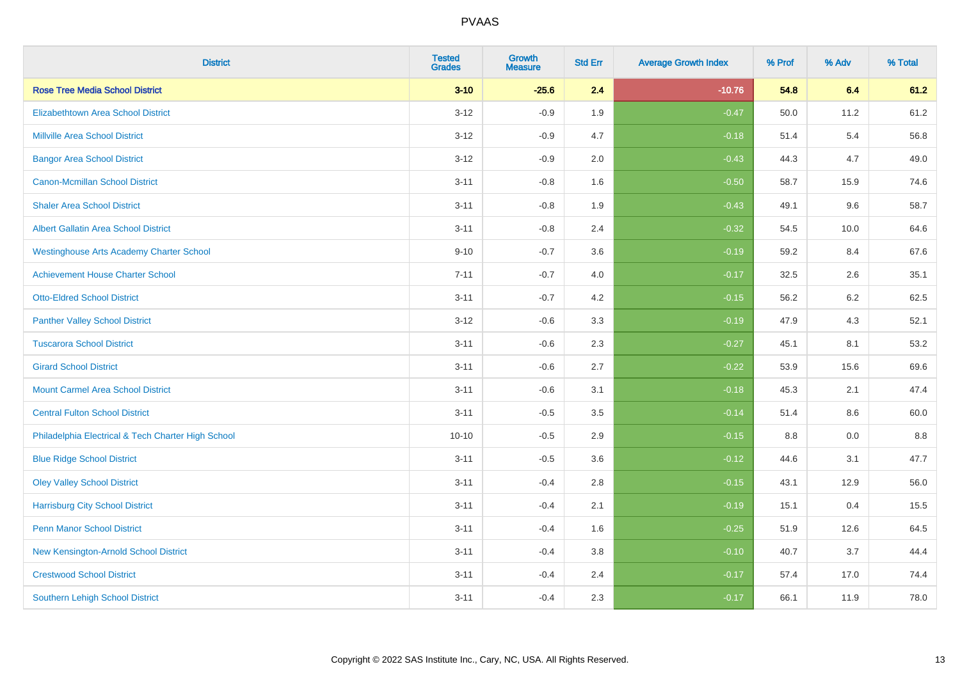| <b>District</b>                                    | <b>Tested</b><br><b>Grades</b> | <b>Growth</b><br><b>Measure</b> | <b>Std Err</b> | <b>Average Growth Index</b> | % Prof | % Adv | % Total |
|----------------------------------------------------|--------------------------------|---------------------------------|----------------|-----------------------------|--------|-------|---------|
| <b>Rose Tree Media School District</b>             | $3 - 10$                       | $-25.6$                         | 2.4            | $-10.76$                    | 54.8   | 6.4   | 61.2    |
| <b>Elizabethtown Area School District</b>          | $3 - 12$                       | $-0.9$                          | 1.9            | $-0.47$                     | 50.0   | 11.2  | 61.2    |
| <b>Millville Area School District</b>              | $3 - 12$                       | $-0.9$                          | 4.7            | $-0.18$                     | 51.4   | 5.4   | 56.8    |
| <b>Bangor Area School District</b>                 | $3 - 12$                       | $-0.9$                          | 2.0            | $-0.43$                     | 44.3   | 4.7   | 49.0    |
| <b>Canon-Mcmillan School District</b>              | $3 - 11$                       | $-0.8$                          | 1.6            | $-0.50$                     | 58.7   | 15.9  | 74.6    |
| <b>Shaler Area School District</b>                 | $3 - 11$                       | $-0.8$                          | 1.9            | $-0.43$                     | 49.1   | 9.6   | 58.7    |
| Albert Gallatin Area School District               | $3 - 11$                       | $-0.8$                          | 2.4            | $-0.32$                     | 54.5   | 10.0  | 64.6    |
| <b>Westinghouse Arts Academy Charter School</b>    | $9 - 10$                       | $-0.7$                          | 3.6            | $-0.19$                     | 59.2   | 8.4   | 67.6    |
| <b>Achievement House Charter School</b>            | $7 - 11$                       | $-0.7$                          | 4.0            | $-0.17$                     | 32.5   | 2.6   | 35.1    |
| <b>Otto-Eldred School District</b>                 | $3 - 11$                       | $-0.7$                          | 4.2            | $-0.15$                     | 56.2   | 6.2   | 62.5    |
| <b>Panther Valley School District</b>              | $3 - 12$                       | $-0.6$                          | 3.3            | $-0.19$                     | 47.9   | 4.3   | 52.1    |
| <b>Tuscarora School District</b>                   | $3 - 11$                       | $-0.6$                          | 2.3            | $-0.27$                     | 45.1   | 8.1   | 53.2    |
| <b>Girard School District</b>                      | $3 - 11$                       | $-0.6$                          | 2.7            | $-0.22$                     | 53.9   | 15.6  | 69.6    |
| <b>Mount Carmel Area School District</b>           | $3 - 11$                       | $-0.6$                          | 3.1            | $-0.18$                     | 45.3   | 2.1   | 47.4    |
| <b>Central Fulton School District</b>              | $3 - 11$                       | $-0.5$                          | 3.5            | $-0.14$                     | 51.4   | 8.6   | 60.0    |
| Philadelphia Electrical & Tech Charter High School | $10 - 10$                      | $-0.5$                          | 2.9            | $-0.15$                     | 8.8    | 0.0   | $8.8\,$ |
| <b>Blue Ridge School District</b>                  | $3 - 11$                       | $-0.5$                          | 3.6            | $-0.12$                     | 44.6   | 3.1   | 47.7    |
| <b>Oley Valley School District</b>                 | $3 - 11$                       | $-0.4$                          | 2.8            | $-0.15$                     | 43.1   | 12.9  | 56.0    |
| <b>Harrisburg City School District</b>             | $3 - 11$                       | $-0.4$                          | 2.1            | $-0.19$                     | 15.1   | 0.4   | 15.5    |
| <b>Penn Manor School District</b>                  | $3 - 11$                       | $-0.4$                          | 1.6            | $-0.25$                     | 51.9   | 12.6  | 64.5    |
| New Kensington-Arnold School District              | $3 - 11$                       | $-0.4$                          | 3.8            | $-0.10$                     | 40.7   | 3.7   | 44.4    |
| <b>Crestwood School District</b>                   | $3 - 11$                       | $-0.4$                          | 2.4            | $-0.17$                     | 57.4   | 17.0  | 74.4    |
| <b>Southern Lehigh School District</b>             | $3 - 11$                       | $-0.4$                          | 2.3            | $-0.17$                     | 66.1   | 11.9  | 78.0    |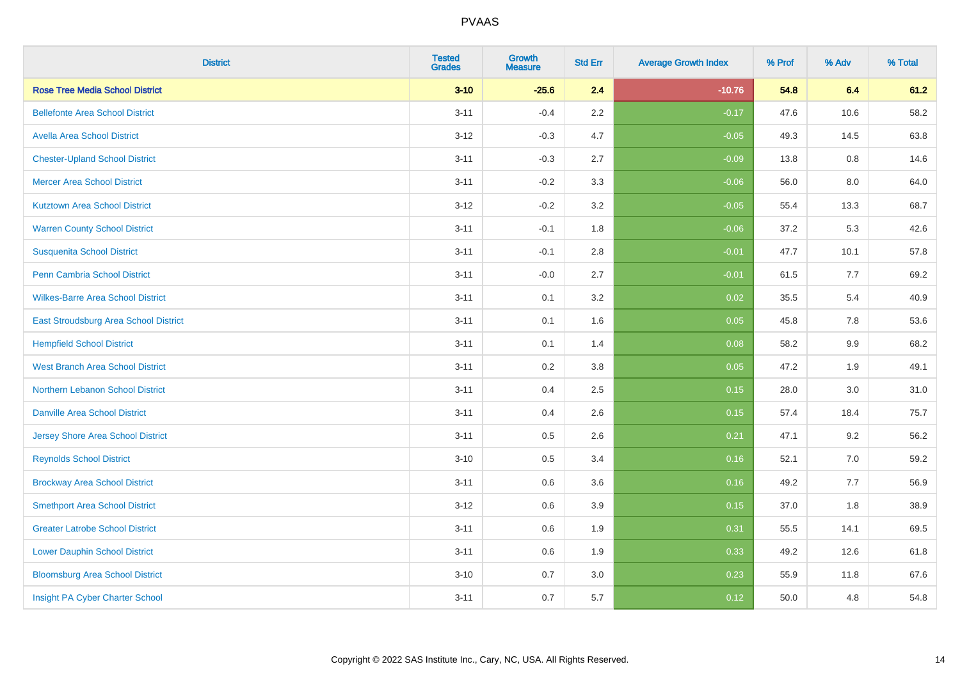| <b>District</b>                          | <b>Tested</b><br><b>Grades</b> | <b>Growth</b><br><b>Measure</b> | <b>Std Err</b> | <b>Average Growth Index</b> | % Prof | % Adv   | % Total |
|------------------------------------------|--------------------------------|---------------------------------|----------------|-----------------------------|--------|---------|---------|
| <b>Rose Tree Media School District</b>   | $3 - 10$                       | $-25.6$                         | 2.4            | $-10.76$                    | 54.8   | 6.4     | 61.2    |
| <b>Bellefonte Area School District</b>   | $3 - 11$                       | $-0.4$                          | 2.2            | $-0.17$                     | 47.6   | 10.6    | 58.2    |
| <b>Avella Area School District</b>       | $3-12$                         | $-0.3$                          | 4.7            | $-0.05$                     | 49.3   | 14.5    | 63.8    |
| <b>Chester-Upland School District</b>    | $3 - 11$                       | $-0.3$                          | 2.7            | $-0.09$                     | 13.8   | 0.8     | 14.6    |
| <b>Mercer Area School District</b>       | $3 - 11$                       | $-0.2$                          | 3.3            | $-0.06$                     | 56.0   | 8.0     | 64.0    |
| <b>Kutztown Area School District</b>     | $3-12$                         | $-0.2$                          | 3.2            | $-0.05$                     | 55.4   | 13.3    | 68.7    |
| <b>Warren County School District</b>     | $3 - 11$                       | $-0.1$                          | 1.8            | $-0.06$                     | 37.2   | 5.3     | 42.6    |
| <b>Susquenita School District</b>        | $3 - 11$                       | $-0.1$                          | 2.8            | $-0.01$                     | 47.7   | 10.1    | 57.8    |
| <b>Penn Cambria School District</b>      | $3 - 11$                       | $-0.0$                          | 2.7            | $-0.01$                     | 61.5   | 7.7     | 69.2    |
| <b>Wilkes-Barre Area School District</b> | $3 - 11$                       | 0.1                             | 3.2            | 0.02                        | 35.5   | 5.4     | 40.9    |
| East Stroudsburg Area School District    | $3 - 11$                       | 0.1                             | 1.6            | 0.05                        | 45.8   | 7.8     | 53.6    |
| <b>Hempfield School District</b>         | $3 - 11$                       | 0.1                             | 1.4            | 0.08                        | 58.2   | 9.9     | 68.2    |
| <b>West Branch Area School District</b>  | $3 - 11$                       | 0.2                             | 3.8            | 0.05                        | 47.2   | 1.9     | 49.1    |
| Northern Lebanon School District         | $3 - 11$                       | 0.4                             | 2.5            | 0.15                        | 28.0   | $3.0\,$ | 31.0    |
| <b>Danville Area School District</b>     | $3 - 11$                       | 0.4                             | 2.6            | 0.15                        | 57.4   | 18.4    | 75.7    |
| <b>Jersey Shore Area School District</b> | $3 - 11$                       | 0.5                             | 2.6            | 0.21                        | 47.1   | 9.2     | 56.2    |
| <b>Reynolds School District</b>          | $3 - 10$                       | 0.5                             | 3.4            | 0.16                        | 52.1   | 7.0     | 59.2    |
| <b>Brockway Area School District</b>     | $3 - 11$                       | 0.6                             | 3.6            | 0.16                        | 49.2   | 7.7     | 56.9    |
| <b>Smethport Area School District</b>    | $3 - 12$                       | 0.6                             | 3.9            | 0.15                        | 37.0   | 1.8     | 38.9    |
| <b>Greater Latrobe School District</b>   | $3 - 11$                       | 0.6                             | 1.9            | 0.31                        | 55.5   | 14.1    | 69.5    |
| <b>Lower Dauphin School District</b>     | $3 - 11$                       | 0.6                             | 1.9            | 0.33                        | 49.2   | 12.6    | 61.8    |
| <b>Bloomsburg Area School District</b>   | $3 - 10$                       | 0.7                             | 3.0            | 0.23                        | 55.9   | 11.8    | 67.6    |
| Insight PA Cyber Charter School          | $3 - 11$                       | 0.7                             | 5.7            | 0.12                        | 50.0   | 4.8     | 54.8    |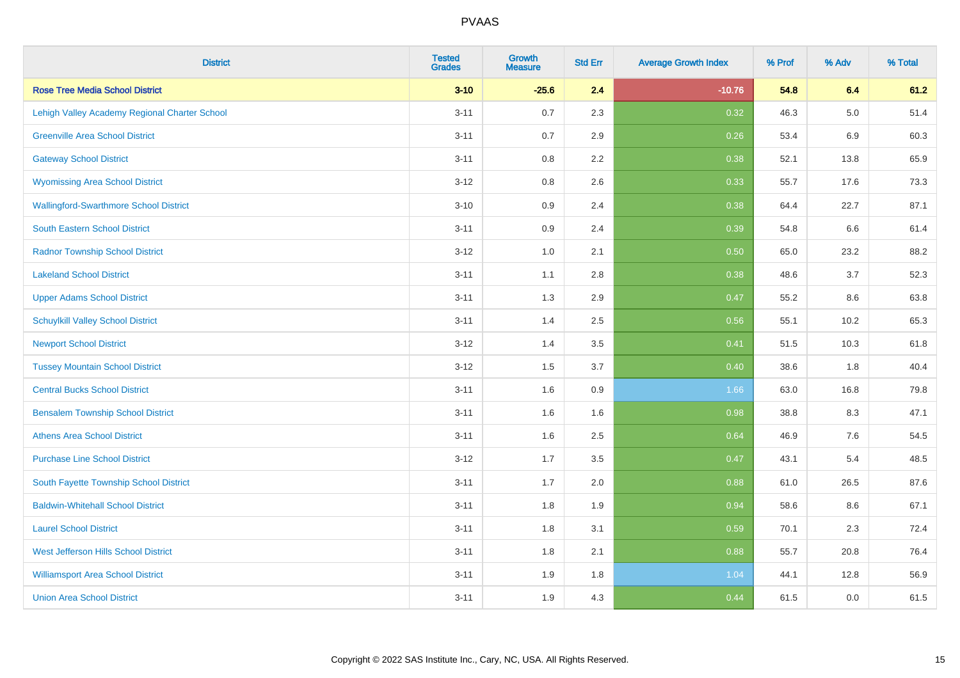| <b>District</b>                               | <b>Tested</b><br><b>Grades</b> | <b>Growth</b><br><b>Measure</b> | <b>Std Err</b> | <b>Average Growth Index</b> | % Prof | % Adv   | % Total |
|-----------------------------------------------|--------------------------------|---------------------------------|----------------|-----------------------------|--------|---------|---------|
| <b>Rose Tree Media School District</b>        | $3 - 10$                       | $-25.6$                         | 2.4            | $-10.76$                    | 54.8   | 6.4     | 61.2    |
| Lehigh Valley Academy Regional Charter School | $3 - 11$                       | 0.7                             | 2.3            | 0.32                        | 46.3   | $5.0\,$ | 51.4    |
| <b>Greenville Area School District</b>        | $3 - 11$                       | 0.7                             | 2.9            | 0.26                        | 53.4   | 6.9     | 60.3    |
| <b>Gateway School District</b>                | $3 - 11$                       | $0.8\,$                         | 2.2            | 0.38                        | 52.1   | 13.8    | 65.9    |
| <b>Wyomissing Area School District</b>        | $3 - 12$                       | 0.8                             | 2.6            | 0.33                        | 55.7   | 17.6    | 73.3    |
| <b>Wallingford-Swarthmore School District</b> | $3 - 10$                       | 0.9                             | 2.4            | 0.38                        | 64.4   | 22.7    | 87.1    |
| South Eastern School District                 | $3 - 11$                       | 0.9                             | 2.4            | 0.39                        | 54.8   | 6.6     | 61.4    |
| <b>Radnor Township School District</b>        | $3 - 12$                       | $1.0\,$                         | 2.1            | 0.50                        | 65.0   | 23.2    | 88.2    |
| <b>Lakeland School District</b>               | $3 - 11$                       | 1.1                             | 2.8            | 0.38                        | 48.6   | 3.7     | 52.3    |
| <b>Upper Adams School District</b>            | $3 - 11$                       | 1.3                             | 2.9            | 0.47                        | 55.2   | 8.6     | 63.8    |
| <b>Schuylkill Valley School District</b>      | $3 - 11$                       | 1.4                             | 2.5            | 0.56                        | 55.1   | 10.2    | 65.3    |
| <b>Newport School District</b>                | $3 - 12$                       | 1.4                             | 3.5            | 0.41                        | 51.5   | 10.3    | 61.8    |
| <b>Tussey Mountain School District</b>        | $3 - 12$                       | 1.5                             | 3.7            | 0.40                        | 38.6   | 1.8     | 40.4    |
| <b>Central Bucks School District</b>          | $3 - 11$                       | 1.6                             | 0.9            | 1.66                        | 63.0   | 16.8    | 79.8    |
| <b>Bensalem Township School District</b>      | $3 - 11$                       | 1.6                             | 1.6            | 0.98                        | 38.8   | 8.3     | 47.1    |
| <b>Athens Area School District</b>            | $3 - 11$                       | 1.6                             | 2.5            | 0.64                        | 46.9   | 7.6     | 54.5    |
| <b>Purchase Line School District</b>          | $3-12$                         | 1.7                             | 3.5            | 0.47                        | 43.1   | 5.4     | 48.5    |
| South Fayette Township School District        | $3 - 11$                       | 1.7                             | 2.0            | 0.88                        | 61.0   | 26.5    | 87.6    |
| <b>Baldwin-Whitehall School District</b>      | $3 - 11$                       | 1.8                             | 1.9            | 0.94                        | 58.6   | $8.6\,$ | 67.1    |
| <b>Laurel School District</b>                 | $3 - 11$                       | 1.8                             | 3.1            | 0.59                        | 70.1   | 2.3     | 72.4    |
| <b>West Jefferson Hills School District</b>   | $3 - 11$                       | 1.8                             | 2.1            | 0.88                        | 55.7   | 20.8    | 76.4    |
| <b>Williamsport Area School District</b>      | $3 - 11$                       | 1.9                             | 1.8            | 1.04                        | 44.1   | 12.8    | 56.9    |
| <b>Union Area School District</b>             | $3 - 11$                       | 1.9                             | 4.3            | 0.44                        | 61.5   | 0.0     | 61.5    |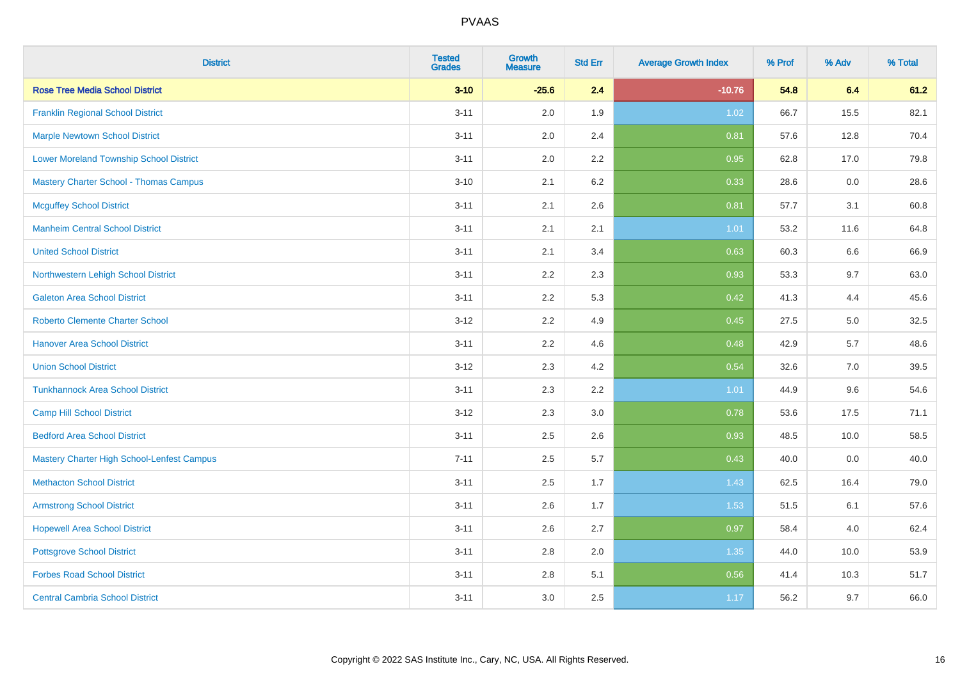| <b>District</b>                                | <b>Tested</b><br><b>Grades</b> | <b>Growth</b><br><b>Measure</b> | <b>Std Err</b> | <b>Average Growth Index</b> | % Prof | % Adv | % Total |
|------------------------------------------------|--------------------------------|---------------------------------|----------------|-----------------------------|--------|-------|---------|
| <b>Rose Tree Media School District</b>         | $3 - 10$                       | $-25.6$                         | 2.4            | $-10.76$                    | 54.8   | 6.4   | 61.2    |
| <b>Franklin Regional School District</b>       | $3 - 11$                       | 2.0                             | 1.9            | 1.02                        | 66.7   | 15.5  | 82.1    |
| <b>Marple Newtown School District</b>          | $3 - 11$                       | 2.0                             | 2.4            | 0.81                        | 57.6   | 12.8  | 70.4    |
| <b>Lower Moreland Township School District</b> | $3 - 11$                       | 2.0                             | 2.2            | 0.95                        | 62.8   | 17.0  | 79.8    |
| <b>Mastery Charter School - Thomas Campus</b>  | $3 - 10$                       | 2.1                             | 6.2            | 0.33                        | 28.6   | 0.0   | 28.6    |
| <b>Mcguffey School District</b>                | $3 - 11$                       | 2.1                             | 2.6            | 0.81                        | 57.7   | 3.1   | 60.8    |
| <b>Manheim Central School District</b>         | $3 - 11$                       | 2.1                             | 2.1            | 1.01                        | 53.2   | 11.6  | 64.8    |
| <b>United School District</b>                  | $3 - 11$                       | 2.1                             | 3.4            | 0.63                        | 60.3   | 6.6   | 66.9    |
| Northwestern Lehigh School District            | $3 - 11$                       | 2.2                             | 2.3            | 0.93                        | 53.3   | 9.7   | 63.0    |
| <b>Galeton Area School District</b>            | $3 - 11$                       | 2.2                             | 5.3            | 0.42                        | 41.3   | 4.4   | 45.6    |
| <b>Roberto Clemente Charter School</b>         | $3 - 12$                       | 2.2                             | 4.9            | 0.45                        | 27.5   | 5.0   | 32.5    |
| <b>Hanover Area School District</b>            | $3 - 11$                       | 2.2                             | 4.6            | 0.48                        | 42.9   | 5.7   | 48.6    |
| <b>Union School District</b>                   | $3 - 12$                       | 2.3                             | 4.2            | 0.54                        | 32.6   | 7.0   | 39.5    |
| <b>Tunkhannock Area School District</b>        | $3 - 11$                       | 2.3                             | 2.2            | 1.01                        | 44.9   | 9.6   | 54.6    |
| <b>Camp Hill School District</b>               | $3 - 12$                       | 2.3                             | 3.0            | 0.78                        | 53.6   | 17.5  | 71.1    |
| <b>Bedford Area School District</b>            | $3 - 11$                       | 2.5                             | 2.6            | 0.93                        | 48.5   | 10.0  | 58.5    |
| Mastery Charter High School-Lenfest Campus     | $7 - 11$                       | 2.5                             | 5.7            | 0.43                        | 40.0   | 0.0   | 40.0    |
| <b>Methacton School District</b>               | $3 - 11$                       | 2.5                             | 1.7            | 1.43                        | 62.5   | 16.4  | 79.0    |
| <b>Armstrong School District</b>               | $3 - 11$                       | 2.6                             | 1.7            | 1.53                        | 51.5   | 6.1   | 57.6    |
| <b>Hopewell Area School District</b>           | $3 - 11$                       | 2.6                             | 2.7            | 0.97                        | 58.4   | 4.0   | 62.4    |
| <b>Pottsgrove School District</b>              | $3 - 11$                       | 2.8                             | 2.0            | 1.35                        | 44.0   | 10.0  | 53.9    |
| <b>Forbes Road School District</b>             | $3 - 11$                       | 2.8                             | 5.1            | 0.56                        | 41.4   | 10.3  | 51.7    |
| <b>Central Cambria School District</b>         | $3 - 11$                       | 3.0                             | 2.5            | 1.17                        | 56.2   | 9.7   | 66.0    |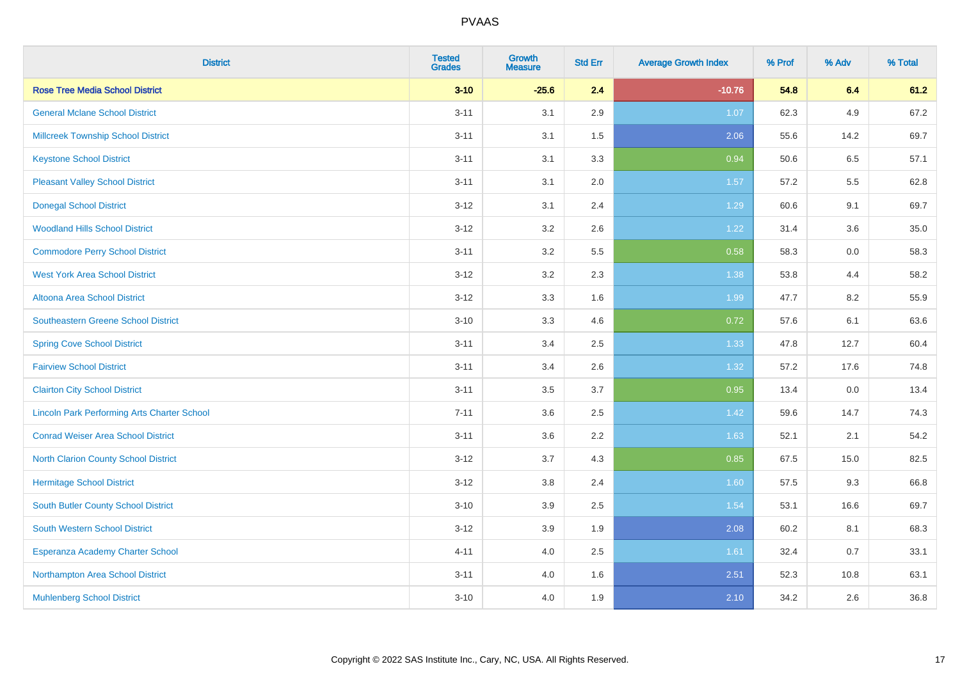| <b>District</b>                                    | <b>Tested</b><br><b>Grades</b> | <b>Growth</b><br><b>Measure</b> | <b>Std Err</b> | <b>Average Growth Index</b> | % Prof | % Adv | % Total |
|----------------------------------------------------|--------------------------------|---------------------------------|----------------|-----------------------------|--------|-------|---------|
| <b>Rose Tree Media School District</b>             | $3 - 10$                       | $-25.6$                         | 2.4            | $-10.76$                    | 54.8   | 6.4   | 61.2    |
| <b>General Mclane School District</b>              | $3 - 11$                       | 3.1                             | 2.9            | 1.07                        | 62.3   | 4.9   | 67.2    |
| <b>Millcreek Township School District</b>          | $3 - 11$                       | 3.1                             | 1.5            | 2.06                        | 55.6   | 14.2  | 69.7    |
| <b>Keystone School District</b>                    | $3 - 11$                       | 3.1                             | 3.3            | 0.94                        | 50.6   | 6.5   | 57.1    |
| <b>Pleasant Valley School District</b>             | $3 - 11$                       | 3.1                             | 2.0            | 1.57                        | 57.2   | 5.5   | 62.8    |
| <b>Donegal School District</b>                     | $3 - 12$                       | 3.1                             | 2.4            | 1.29                        | 60.6   | 9.1   | 69.7    |
| <b>Woodland Hills School District</b>              | $3 - 12$                       | 3.2                             | 2.6            | 1.22                        | 31.4   | 3.6   | 35.0    |
| <b>Commodore Perry School District</b>             | $3 - 11$                       | 3.2                             | 5.5            | 0.58                        | 58.3   | 0.0   | 58.3    |
| <b>West York Area School District</b>              | $3 - 12$                       | 3.2                             | 2.3            | 1.38                        | 53.8   | 4.4   | 58.2    |
| Altoona Area School District                       | $3 - 12$                       | 3.3                             | 1.6            | 1.99                        | 47.7   | 8.2   | 55.9    |
| <b>Southeastern Greene School District</b>         | $3 - 10$                       | 3.3                             | 4.6            | 0.72                        | 57.6   | 6.1   | 63.6    |
| <b>Spring Cove School District</b>                 | $3 - 11$                       | 3.4                             | 2.5            | 1.33                        | 47.8   | 12.7  | 60.4    |
| <b>Fairview School District</b>                    | $3 - 11$                       | 3.4                             | 2.6            | 1.32                        | 57.2   | 17.6  | 74.8    |
| <b>Clairton City School District</b>               | $3 - 11$                       | $3.5\,$                         | 3.7            | 0.95                        | 13.4   | 0.0   | 13.4    |
| <b>Lincoln Park Performing Arts Charter School</b> | $7 - 11$                       | 3.6                             | 2.5            | 1.42                        | 59.6   | 14.7  | 74.3    |
| <b>Conrad Weiser Area School District</b>          | $3 - 11$                       | 3.6                             | 2.2            | 1.63                        | 52.1   | 2.1   | 54.2    |
| <b>North Clarion County School District</b>        | $3 - 12$                       | 3.7                             | 4.3            | 0.85                        | 67.5   | 15.0  | 82.5    |
| <b>Hermitage School District</b>                   | $3 - 12$                       | 3.8                             | 2.4            | 1.60                        | 57.5   | 9.3   | 66.8    |
| <b>South Butler County School District</b>         | $3 - 10$                       | 3.9                             | 2.5            | 1.54                        | 53.1   | 16.6  | 69.7    |
| South Western School District                      | $3 - 12$                       | 3.9                             | 1.9            | 2.08                        | 60.2   | 8.1   | 68.3    |
| Esperanza Academy Charter School                   | $4 - 11$                       | 4.0                             | 2.5            | 1.61                        | 32.4   | 0.7   | 33.1    |
| Northampton Area School District                   | $3 - 11$                       | 4.0                             | 1.6            | 2.51                        | 52.3   | 10.8  | 63.1    |
| <b>Muhlenberg School District</b>                  | $3 - 10$                       | 4.0                             | 1.9            | 2.10                        | 34.2   | 2.6   | 36.8    |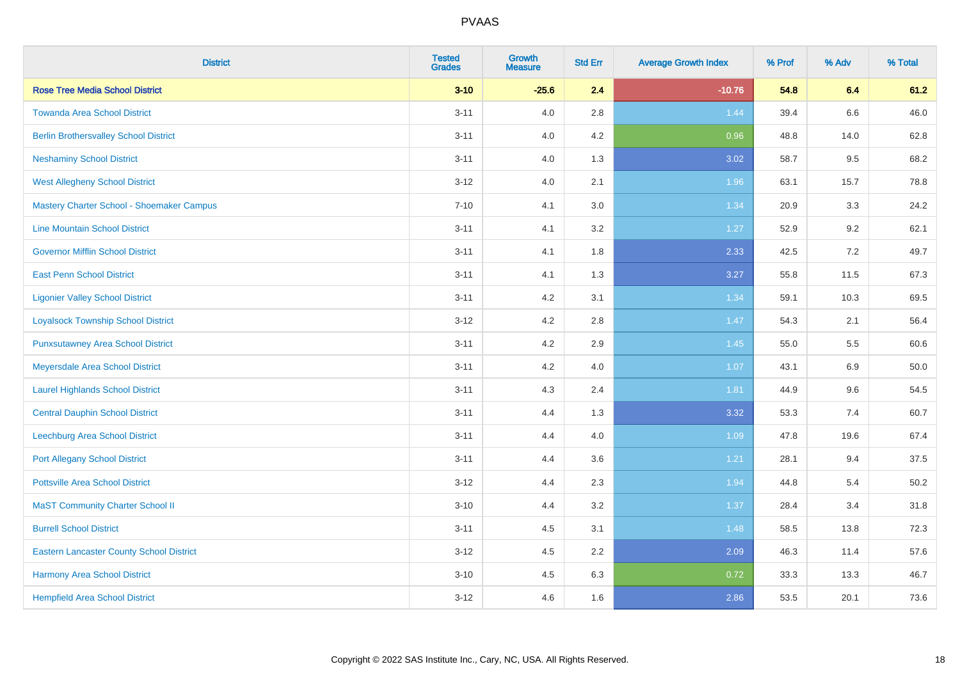| <b>District</b>                                 | <b>Tested</b><br><b>Grades</b> | <b>Growth</b><br><b>Measure</b> | <b>Std Err</b> | <b>Average Growth Index</b> | % Prof | % Adv | % Total |
|-------------------------------------------------|--------------------------------|---------------------------------|----------------|-----------------------------|--------|-------|---------|
| <b>Rose Tree Media School District</b>          | $3 - 10$                       | $-25.6$                         | 2.4            | $-10.76$                    | 54.8   | 6.4   | 61.2    |
| <b>Towanda Area School District</b>             | $3 - 11$                       | 4.0                             | 2.8            | 1.44                        | 39.4   | 6.6   | 46.0    |
| <b>Berlin Brothersvalley School District</b>    | $3 - 11$                       | 4.0                             | 4.2            | 0.96                        | 48.8   | 14.0  | 62.8    |
| <b>Neshaminy School District</b>                | $3 - 11$                       | 4.0                             | 1.3            | 3.02                        | 58.7   | 9.5   | 68.2    |
| <b>West Allegheny School District</b>           | $3 - 12$                       | 4.0                             | 2.1            | 1.96                        | 63.1   | 15.7  | 78.8    |
| Mastery Charter School - Shoemaker Campus       | $7 - 10$                       | 4.1                             | 3.0            | 1.34                        | 20.9   | 3.3   | 24.2    |
| <b>Line Mountain School District</b>            | $3 - 11$                       | 4.1                             | 3.2            | 1.27                        | 52.9   | 9.2   | 62.1    |
| <b>Governor Mifflin School District</b>         | $3 - 11$                       | 4.1                             | 1.8            | 2.33                        | 42.5   | 7.2   | 49.7    |
| <b>East Penn School District</b>                | $3 - 11$                       | 4.1                             | 1.3            | 3.27                        | 55.8   | 11.5  | 67.3    |
| <b>Ligonier Valley School District</b>          | $3 - 11$                       | 4.2                             | 3.1            | 1.34                        | 59.1   | 10.3  | 69.5    |
| <b>Loyalsock Township School District</b>       | $3 - 12$                       | 4.2                             | 2.8            | 1.47                        | 54.3   | 2.1   | 56.4    |
| <b>Punxsutawney Area School District</b>        | $3 - 11$                       | 4.2                             | 2.9            | 1.45                        | 55.0   | 5.5   | 60.6    |
| Meyersdale Area School District                 | $3 - 11$                       | 4.2                             | 4.0            | 1.07                        | 43.1   | 6.9   | 50.0    |
| <b>Laurel Highlands School District</b>         | $3 - 11$                       | 4.3                             | 2.4            | 1.81                        | 44.9   | 9.6   | 54.5    |
| <b>Central Dauphin School District</b>          | $3 - 11$                       | 4.4                             | 1.3            | 3.32                        | 53.3   | 7.4   | 60.7    |
| Leechburg Area School District                  | $3 - 11$                       | 4.4                             | 4.0            | 1.09                        | 47.8   | 19.6  | 67.4    |
| <b>Port Allegany School District</b>            | $3 - 11$                       | 4.4                             | 3.6            | 1.21                        | 28.1   | 9.4   | 37.5    |
| <b>Pottsville Area School District</b>          | $3 - 12$                       | 4.4                             | 2.3            | 1.94                        | 44.8   | 5.4   | 50.2    |
| <b>MaST Community Charter School II</b>         | $3 - 10$                       | 4.4                             | 3.2            | 1.37                        | 28.4   | 3.4   | 31.8    |
| <b>Burrell School District</b>                  | $3 - 11$                       | 4.5                             | 3.1            | 1.48                        | 58.5   | 13.8  | 72.3    |
| <b>Eastern Lancaster County School District</b> | $3 - 12$                       | 4.5                             | 2.2            | 2.09                        | 46.3   | 11.4  | 57.6    |
| Harmony Area School District                    | $3 - 10$                       | 4.5                             | 6.3            | 0.72                        | 33.3   | 13.3  | 46.7    |
| <b>Hempfield Area School District</b>           | $3 - 12$                       | 4.6                             | 1.6            | 2.86                        | 53.5   | 20.1  | 73.6    |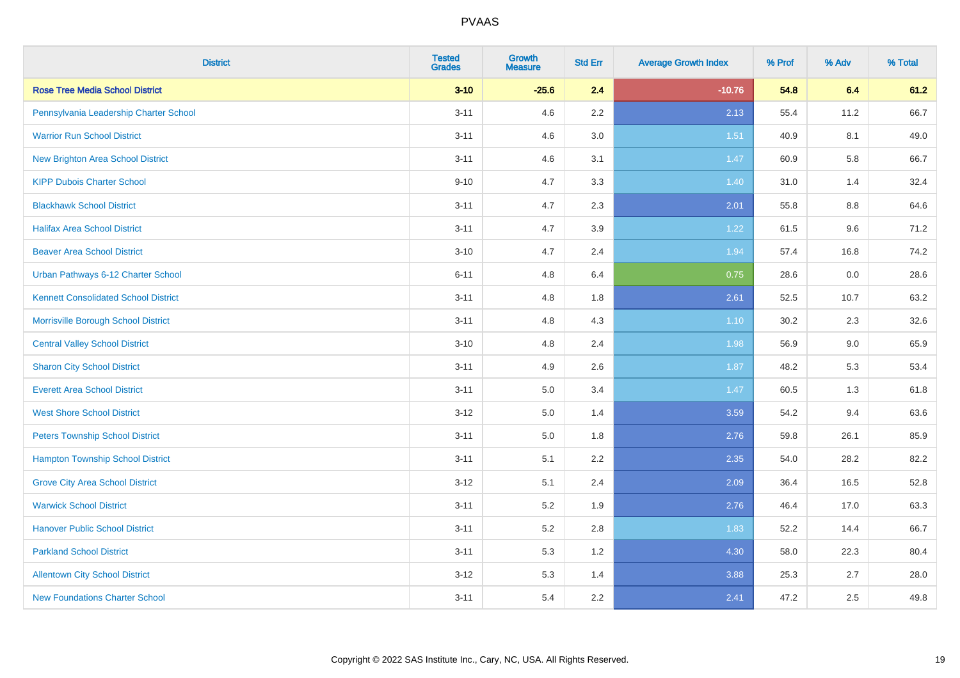| <b>District</b>                             | <b>Tested</b><br><b>Grades</b> | <b>Growth</b><br><b>Measure</b> | <b>Std Err</b> | <b>Average Growth Index</b> | % Prof | % Adv | % Total |
|---------------------------------------------|--------------------------------|---------------------------------|----------------|-----------------------------|--------|-------|---------|
| <b>Rose Tree Media School District</b>      | $3 - 10$                       | $-25.6$                         | 2.4            | $-10.76$                    | 54.8   | 6.4   | 61.2    |
| Pennsylvania Leadership Charter School      | $3 - 11$                       | 4.6                             | $2.2\,$        | 2.13                        | 55.4   | 11.2  | 66.7    |
| <b>Warrior Run School District</b>          | $3 - 11$                       | 4.6                             | 3.0            | 1.51                        | 40.9   | 8.1   | 49.0    |
| <b>New Brighton Area School District</b>    | $3 - 11$                       | 4.6                             | 3.1            | 1.47                        | 60.9   | 5.8   | 66.7    |
| <b>KIPP Dubois Charter School</b>           | $9 - 10$                       | 4.7                             | 3.3            | 1.40                        | 31.0   | 1.4   | 32.4    |
| <b>Blackhawk School District</b>            | $3 - 11$                       | 4.7                             | 2.3            | 2.01                        | 55.8   | 8.8   | 64.6    |
| <b>Halifax Area School District</b>         | $3 - 11$                       | 4.7                             | 3.9            | 1.22                        | 61.5   | 9.6   | 71.2    |
| <b>Beaver Area School District</b>          | $3 - 10$                       | 4.7                             | 2.4            | 1.94                        | 57.4   | 16.8  | 74.2    |
| Urban Pathways 6-12 Charter School          | $6 - 11$                       | 4.8                             | 6.4            | 0.75                        | 28.6   | 0.0   | 28.6    |
| <b>Kennett Consolidated School District</b> | $3 - 11$                       | 4.8                             | 1.8            | 2.61                        | 52.5   | 10.7  | 63.2    |
| Morrisville Borough School District         | $3 - 11$                       | 4.8                             | 4.3            | $1.10$                      | 30.2   | 2.3   | 32.6    |
| <b>Central Valley School District</b>       | $3 - 10$                       | 4.8                             | 2.4            | 1.98                        | 56.9   | 9.0   | 65.9    |
| <b>Sharon City School District</b>          | $3 - 11$                       | 4.9                             | 2.6            | 1.87                        | 48.2   | 5.3   | 53.4    |
| <b>Everett Area School District</b>         | $3 - 11$                       | 5.0                             | 3.4            | 1.47                        | 60.5   | 1.3   | 61.8    |
| <b>West Shore School District</b>           | $3 - 12$                       | 5.0                             | 1.4            | 3.59                        | 54.2   | 9.4   | 63.6    |
| <b>Peters Township School District</b>      | $3 - 11$                       | 5.0                             | 1.8            | 2.76                        | 59.8   | 26.1  | 85.9    |
| <b>Hampton Township School District</b>     | $3 - 11$                       | 5.1                             | 2.2            | 2.35                        | 54.0   | 28.2  | 82.2    |
| <b>Grove City Area School District</b>      | $3 - 12$                       | 5.1                             | 2.4            | 2.09                        | 36.4   | 16.5  | 52.8    |
| <b>Warwick School District</b>              | $3 - 11$                       | 5.2                             | 1.9            | 2.76                        | 46.4   | 17.0  | 63.3    |
| <b>Hanover Public School District</b>       | $3 - 11$                       | 5.2                             | 2.8            | 1.83                        | 52.2   | 14.4  | 66.7    |
| <b>Parkland School District</b>             | $3 - 11$                       | 5.3                             | 1.2            | 4.30                        | 58.0   | 22.3  | 80.4    |
| <b>Allentown City School District</b>       | $3 - 12$                       | 5.3                             | 1.4            | 3.88                        | 25.3   | 2.7   | 28.0    |
| <b>New Foundations Charter School</b>       | $3 - 11$                       | 5.4                             | 2.2            | 2.41                        | 47.2   | 2.5   | 49.8    |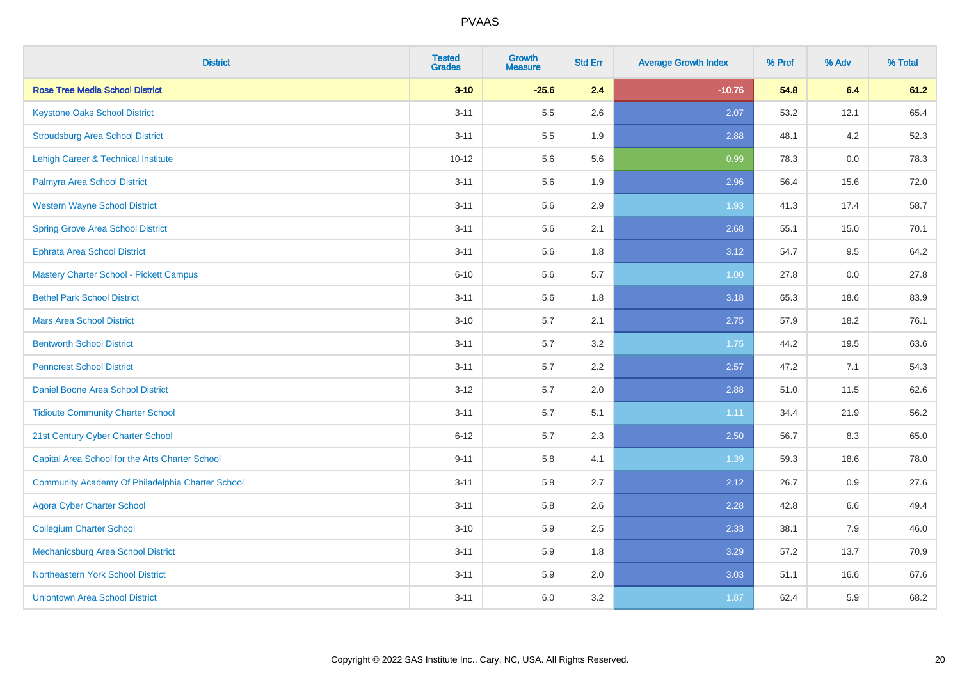| <b>District</b>                                  | <b>Tested</b><br><b>Grades</b> | <b>Growth</b><br><b>Measure</b> | <b>Std Err</b> | <b>Average Growth Index</b> | % Prof | % Adv | % Total |
|--------------------------------------------------|--------------------------------|---------------------------------|----------------|-----------------------------|--------|-------|---------|
| <b>Rose Tree Media School District</b>           | $3 - 10$                       | $-25.6$                         | 2.4            | $-10.76$                    | 54.8   | 6.4   | 61.2    |
| <b>Keystone Oaks School District</b>             | $3 - 11$                       | 5.5                             | 2.6            | 2.07                        | 53.2   | 12.1  | 65.4    |
| <b>Stroudsburg Area School District</b>          | $3 - 11$                       | 5.5                             | 1.9            | 2.88                        | 48.1   | 4.2   | 52.3    |
| <b>Lehigh Career &amp; Technical Institute</b>   | $10 - 12$                      | 5.6                             | 5.6            | 0.99                        | 78.3   | 0.0   | 78.3    |
| Palmyra Area School District                     | $3 - 11$                       | 5.6                             | 1.9            | 2.96                        | 56.4   | 15.6  | 72.0    |
| <b>Western Wayne School District</b>             | $3 - 11$                       | 5.6                             | 2.9            | 1.93                        | 41.3   | 17.4  | 58.7    |
| <b>Spring Grove Area School District</b>         | $3 - 11$                       | 5.6                             | 2.1            | 2.68                        | 55.1   | 15.0  | 70.1    |
| <b>Ephrata Area School District</b>              | $3 - 11$                       | 5.6                             | 1.8            | 3.12                        | 54.7   | 9.5   | 64.2    |
| Mastery Charter School - Pickett Campus          | $6 - 10$                       | 5.6                             | 5.7            | 1.00                        | 27.8   | 0.0   | 27.8    |
| <b>Bethel Park School District</b>               | $3 - 11$                       | $5.6\,$                         | 1.8            | 3.18                        | 65.3   | 18.6  | 83.9    |
| <b>Mars Area School District</b>                 | $3 - 10$                       | 5.7                             | 2.1            | 2.75                        | 57.9   | 18.2  | 76.1    |
| <b>Bentworth School District</b>                 | $3 - 11$                       | 5.7                             | 3.2            | 1.75                        | 44.2   | 19.5  | 63.6    |
| <b>Penncrest School District</b>                 | $3 - 11$                       | 5.7                             | 2.2            | 2.57                        | 47.2   | 7.1   | 54.3    |
| Daniel Boone Area School District                | $3 - 12$                       | 5.7                             | 2.0            | 2.88                        | 51.0   | 11.5  | 62.6    |
| <b>Tidioute Community Charter School</b>         | $3 - 11$                       | 5.7                             | 5.1            | 1.11                        | 34.4   | 21.9  | 56.2    |
| 21st Century Cyber Charter School                | $6 - 12$                       | 5.7                             | 2.3            | 2.50                        | 56.7   | 8.3   | 65.0    |
| Capital Area School for the Arts Charter School  | $9 - 11$                       | 5.8                             | 4.1            | 1.39                        | 59.3   | 18.6  | 78.0    |
| Community Academy Of Philadelphia Charter School | $3 - 11$                       | 5.8                             | 2.7            | 2.12                        | 26.7   | 0.9   | 27.6    |
| <b>Agora Cyber Charter School</b>                | $3 - 11$                       | 5.8                             | 2.6            | 2.28                        | 42.8   | 6.6   | 49.4    |
| <b>Collegium Charter School</b>                  | $3 - 10$                       | 5.9                             | 2.5            | 2.33                        | 38.1   | 7.9   | 46.0    |
| Mechanicsburg Area School District               | $3 - 11$                       | 5.9                             | 1.8            | 3.29                        | 57.2   | 13.7  | 70.9    |
| Northeastern York School District                | $3 - 11$                       | 5.9                             | 2.0            | 3.03                        | 51.1   | 16.6  | 67.6    |
| <b>Uniontown Area School District</b>            | $3 - 11$                       | 6.0                             | 3.2            | 1.87                        | 62.4   | 5.9   | 68.2    |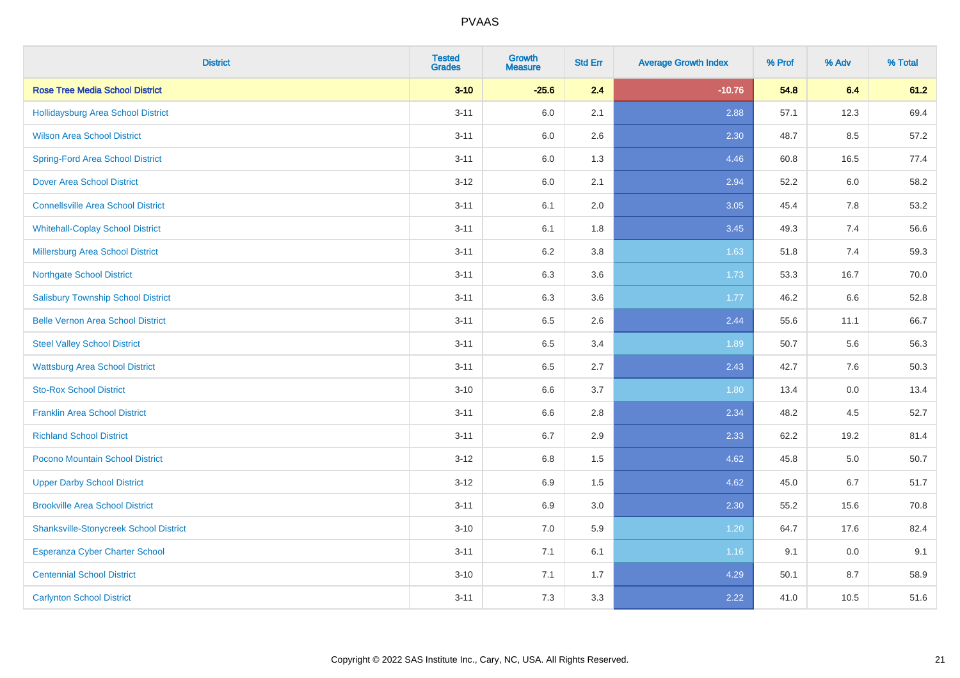| <b>District</b>                               | <b>Tested</b><br><b>Grades</b> | <b>Growth</b><br><b>Measure</b> | <b>Std Err</b> | <b>Average Growth Index</b> | % Prof | % Adv   | % Total |
|-----------------------------------------------|--------------------------------|---------------------------------|----------------|-----------------------------|--------|---------|---------|
| <b>Rose Tree Media School District</b>        | $3 - 10$                       | $-25.6$                         | 2.4            | $-10.76$                    | 54.8   | 6.4     | 61.2    |
| Hollidaysburg Area School District            | $3 - 11$                       | 6.0                             | 2.1            | 2.88                        | 57.1   | 12.3    | 69.4    |
| <b>Wilson Area School District</b>            | $3 - 11$                       | 6.0                             | 2.6            | 2.30                        | 48.7   | 8.5     | 57.2    |
| <b>Spring-Ford Area School District</b>       | $3 - 11$                       | $6.0\,$                         | 1.3            | 4.46                        | 60.8   | 16.5    | 77.4    |
| <b>Dover Area School District</b>             | $3 - 12$                       | 6.0                             | 2.1            | 2.94                        | 52.2   | 6.0     | 58.2    |
| <b>Connellsville Area School District</b>     | $3 - 11$                       | 6.1                             | 2.0            | 3.05                        | 45.4   | 7.8     | 53.2    |
| <b>Whitehall-Coplay School District</b>       | $3 - 11$                       | 6.1                             | 1.8            | 3.45                        | 49.3   | 7.4     | 56.6    |
| <b>Millersburg Area School District</b>       | $3 - 11$                       | 6.2                             | 3.8            | 1.63                        | 51.8   | 7.4     | 59.3    |
| <b>Northgate School District</b>              | $3 - 11$                       | 6.3                             | 3.6            | 1.73                        | 53.3   | 16.7    | 70.0    |
| <b>Salisbury Township School District</b>     | $3 - 11$                       | 6.3                             | 3.6            | 1.77                        | 46.2   | 6.6     | 52.8    |
| <b>Belle Vernon Area School District</b>      | $3 - 11$                       | 6.5                             | 2.6            | 2.44                        | 55.6   | 11.1    | 66.7    |
| <b>Steel Valley School District</b>           | $3 - 11$                       | 6.5                             | 3.4            | 1.89                        | 50.7   | 5.6     | 56.3    |
| <b>Wattsburg Area School District</b>         | $3 - 11$                       | 6.5                             | 2.7            | 2.43                        | 42.7   | 7.6     | 50.3    |
| <b>Sto-Rox School District</b>                | $3 - 10$                       | 6.6                             | 3.7            | 1.80                        | 13.4   | $0.0\,$ | 13.4    |
| <b>Franklin Area School District</b>          | $3 - 11$                       | 6.6                             | 2.8            | 2.34                        | 48.2   | 4.5     | 52.7    |
| <b>Richland School District</b>               | $3 - 11$                       | 6.7                             | 2.9            | 2.33                        | 62.2   | 19.2    | 81.4    |
| Pocono Mountain School District               | $3-12$                         | 6.8                             | 1.5            | 4.62                        | 45.8   | 5.0     | 50.7    |
| <b>Upper Darby School District</b>            | $3-12$                         | 6.9                             | 1.5            | 4.62                        | 45.0   | 6.7     | 51.7    |
| <b>Brookville Area School District</b>        | $3 - 11$                       | 6.9                             | 3.0            | 2.30                        | 55.2   | 15.6    | 70.8    |
| <b>Shanksville-Stonycreek School District</b> | $3 - 10$                       | 7.0                             | 5.9            | 1.20                        | 64.7   | 17.6    | 82.4    |
| <b>Esperanza Cyber Charter School</b>         | $3 - 11$                       | 7.1                             | 6.1            | 1.16                        | 9.1    | 0.0     | 9.1     |
| <b>Centennial School District</b>             | $3 - 10$                       | 7.1                             | 1.7            | 4.29                        | 50.1   | 8.7     | 58.9    |
| <b>Carlynton School District</b>              | $3 - 11$                       | 7.3                             | 3.3            | 2.22                        | 41.0   | 10.5    | 51.6    |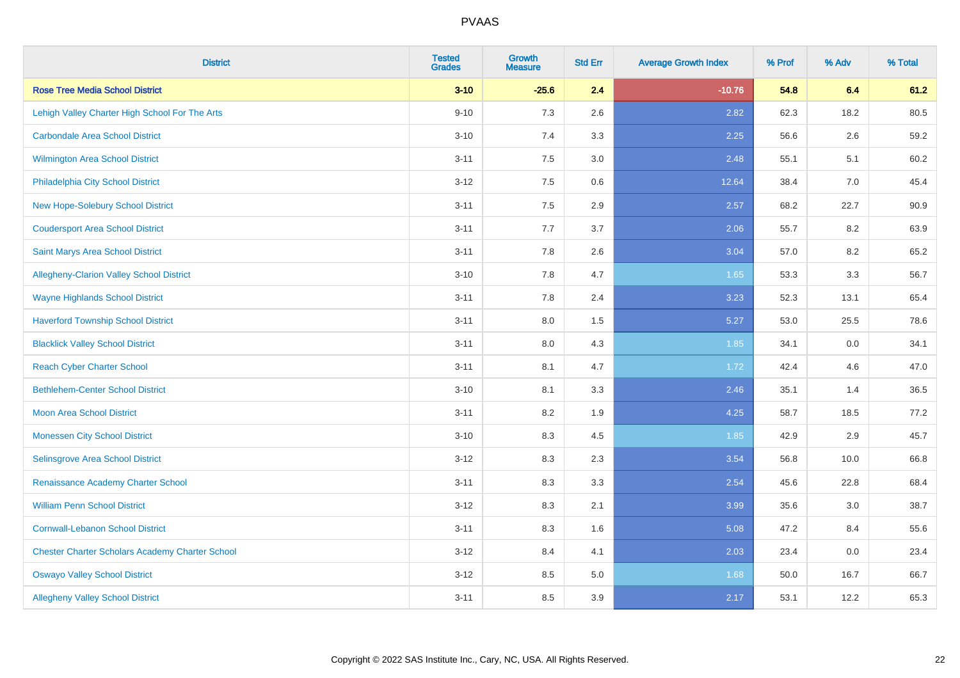| <b>District</b>                                        | <b>Tested</b><br><b>Grades</b> | <b>Growth</b><br><b>Measure</b> | <b>Std Err</b> | <b>Average Growth Index</b> | % Prof | % Adv | % Total |
|--------------------------------------------------------|--------------------------------|---------------------------------|----------------|-----------------------------|--------|-------|---------|
| <b>Rose Tree Media School District</b>                 | $3 - 10$                       | $-25.6$                         | 2.4            | $-10.76$                    | 54.8   | 6.4   | 61.2    |
| Lehigh Valley Charter High School For The Arts         | $9 - 10$                       | 7.3                             | 2.6            | 2.82                        | 62.3   | 18.2  | 80.5    |
| <b>Carbondale Area School District</b>                 | $3 - 10$                       | 7.4                             | 3.3            | 2.25                        | 56.6   | 2.6   | 59.2    |
| <b>Wilmington Area School District</b>                 | $3 - 11$                       | 7.5                             | 3.0            | 2.48                        | 55.1   | 5.1   | 60.2    |
| Philadelphia City School District                      | $3-12$                         | 7.5                             | 0.6            | 12.64                       | 38.4   | 7.0   | 45.4    |
| New Hope-Solebury School District                      | $3 - 11$                       | 7.5                             | 2.9            | 2.57                        | 68.2   | 22.7  | 90.9    |
| <b>Coudersport Area School District</b>                | $3 - 11$                       | 7.7                             | 3.7            | 2.06                        | 55.7   | 8.2   | 63.9    |
| Saint Marys Area School District                       | $3 - 11$                       | 7.8                             | 2.6            | 3.04                        | 57.0   | 8.2   | 65.2    |
| Allegheny-Clarion Valley School District               | $3 - 10$                       | 7.8                             | 4.7            | 1.65                        | 53.3   | 3.3   | 56.7    |
| <b>Wayne Highlands School District</b>                 | $3 - 11$                       | 7.8                             | 2.4            | 3.23                        | 52.3   | 13.1  | 65.4    |
| <b>Haverford Township School District</b>              | $3 - 11$                       | 8.0                             | 1.5            | 5.27                        | 53.0   | 25.5  | 78.6    |
| <b>Blacklick Valley School District</b>                | $3 - 11$                       | 8.0                             | 4.3            | 1.85                        | 34.1   | 0.0   | 34.1    |
| <b>Reach Cyber Charter School</b>                      | $3 - 11$                       | 8.1                             | 4.7            | 1.72                        | 42.4   | 4.6   | 47.0    |
| <b>Bethlehem-Center School District</b>                | $3 - 10$                       | 8.1                             | 3.3            | 2.46                        | 35.1   | 1.4   | 36.5    |
| Moon Area School District                              | $3 - 11$                       | 8.2                             | 1.9            | 4.25                        | 58.7   | 18.5  | 77.2    |
| <b>Monessen City School District</b>                   | $3 - 10$                       | 8.3                             | 4.5            | 1.85                        | 42.9   | 2.9   | 45.7    |
| Selinsgrove Area School District                       | $3-12$                         | 8.3                             | 2.3            | 3.54                        | 56.8   | 10.0  | 66.8    |
| Renaissance Academy Charter School                     | $3 - 11$                       | 8.3                             | 3.3            | 2.54                        | 45.6   | 22.8  | 68.4    |
| <b>William Penn School District</b>                    | $3 - 12$                       | 8.3                             | 2.1            | 3.99                        | 35.6   | 3.0   | 38.7    |
| <b>Cornwall-Lebanon School District</b>                | $3 - 11$                       | 8.3                             | 1.6            | 5.08                        | 47.2   | 8.4   | 55.6    |
| <b>Chester Charter Scholars Academy Charter School</b> | $3 - 12$                       | 8.4                             | 4.1            | 2.03                        | 23.4   | 0.0   | 23.4    |
| <b>Oswayo Valley School District</b>                   | $3-12$                         | 8.5                             | 5.0            | 1.68                        | 50.0   | 16.7  | 66.7    |
| <b>Allegheny Valley School District</b>                | $3 - 11$                       | 8.5                             | 3.9            | 2.17                        | 53.1   | 12.2  | 65.3    |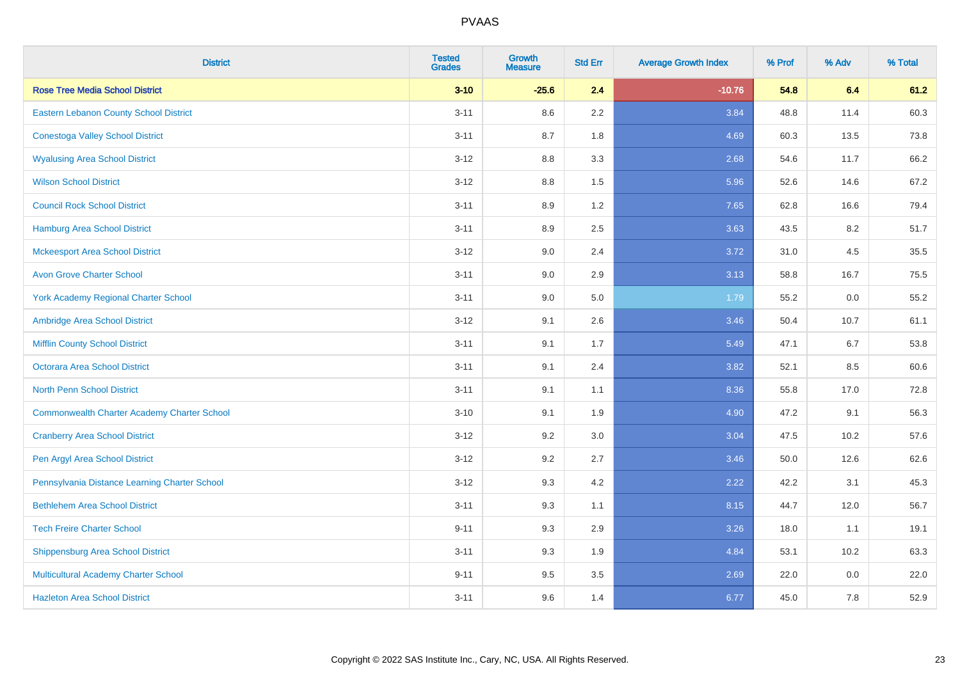| <b>District</b>                                    | <b>Tested</b><br><b>Grades</b> | <b>Growth</b><br><b>Measure</b> | <b>Std Err</b> | <b>Average Growth Index</b> | % Prof | % Adv   | % Total |
|----------------------------------------------------|--------------------------------|---------------------------------|----------------|-----------------------------|--------|---------|---------|
| <b>Rose Tree Media School District</b>             | $3 - 10$                       | $-25.6$                         | 2.4            | $-10.76$                    | 54.8   | 6.4     | 61.2    |
| Eastern Lebanon County School District             | $3 - 11$                       | 8.6                             | 2.2            | 3.84                        | 48.8   | 11.4    | 60.3    |
| <b>Conestoga Valley School District</b>            | $3 - 11$                       | 8.7                             | 1.8            | 4.69                        | 60.3   | 13.5    | 73.8    |
| <b>Wyalusing Area School District</b>              | $3-12$                         | 8.8                             | 3.3            | 2.68                        | 54.6   | 11.7    | 66.2    |
| <b>Wilson School District</b>                      | $3-12$                         | 8.8                             | 1.5            | 5.96                        | 52.6   | 14.6    | 67.2    |
| <b>Council Rock School District</b>                | $3 - 11$                       | 8.9                             | 1.2            | 7.65                        | 62.8   | 16.6    | 79.4    |
| <b>Hamburg Area School District</b>                | $3 - 11$                       | 8.9                             | 2.5            | 3.63                        | 43.5   | 8.2     | 51.7    |
| <b>Mckeesport Area School District</b>             | $3-12$                         | 9.0                             | 2.4            | 3.72                        | 31.0   | 4.5     | 35.5    |
| <b>Avon Grove Charter School</b>                   | $3 - 11$                       | 9.0                             | 2.9            | 3.13                        | 58.8   | 16.7    | 75.5    |
| <b>York Academy Regional Charter School</b>        | $3 - 11$                       | 9.0                             | 5.0            | 1.79                        | 55.2   | 0.0     | 55.2    |
| Ambridge Area School District                      | $3-12$                         | 9.1                             | 2.6            | 3.46                        | 50.4   | 10.7    | 61.1    |
| <b>Mifflin County School District</b>              | $3 - 11$                       | 9.1                             | 1.7            | 5.49                        | 47.1   | 6.7     | 53.8    |
| Octorara Area School District                      | $3 - 11$                       | 9.1                             | 2.4            | 3.82                        | 52.1   | 8.5     | 60.6    |
| <b>North Penn School District</b>                  | $3 - 11$                       | 9.1                             | 1.1            | 8.36                        | 55.8   | 17.0    | 72.8    |
| <b>Commonwealth Charter Academy Charter School</b> | $3 - 10$                       | 9.1                             | 1.9            | 4.90                        | 47.2   | 9.1     | 56.3    |
| <b>Cranberry Area School District</b>              | $3 - 12$                       | 9.2                             | 3.0            | 3.04                        | 47.5   | 10.2    | 57.6    |
| Pen Argyl Area School District                     | $3 - 12$                       | 9.2                             | 2.7            | 3.46                        | 50.0   | 12.6    | 62.6    |
| Pennsylvania Distance Learning Charter School      | $3-12$                         | 9.3                             | 4.2            | 2.22                        | 42.2   | 3.1     | 45.3    |
| <b>Bethlehem Area School District</b>              | $3 - 11$                       | 9.3                             | 1.1            | 8.15                        | 44.7   | 12.0    | 56.7    |
| <b>Tech Freire Charter School</b>                  | $9 - 11$                       | 9.3                             | 2.9            | 3.26                        | 18.0   | 1.1     | 19.1    |
| <b>Shippensburg Area School District</b>           | $3 - 11$                       | 9.3                             | 1.9            | 4.84                        | 53.1   | 10.2    | 63.3    |
| Multicultural Academy Charter School               | $9 - 11$                       | 9.5                             | 3.5            | 2.69                        | 22.0   | $0.0\,$ | 22.0    |
| <b>Hazleton Area School District</b>               | $3 - 11$                       | 9.6                             | 1.4            | 6.77                        | 45.0   | 7.8     | 52.9    |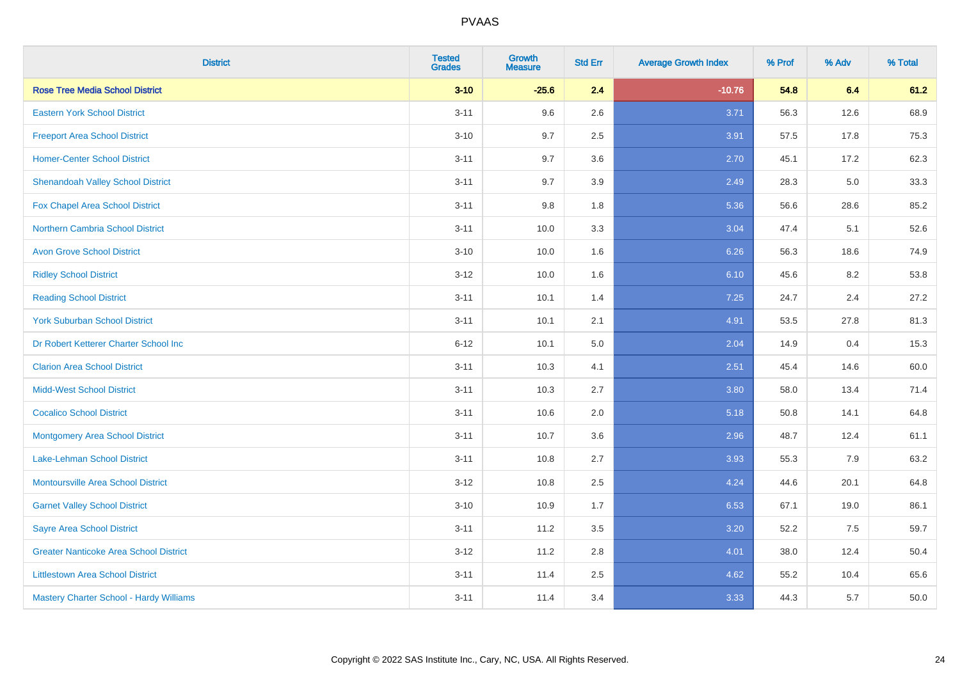| <b>District</b>                               | <b>Tested</b><br><b>Grades</b> | <b>Growth</b><br><b>Measure</b> | <b>Std Err</b> | <b>Average Growth Index</b> | % Prof | % Adv | % Total |
|-----------------------------------------------|--------------------------------|---------------------------------|----------------|-----------------------------|--------|-------|---------|
| <b>Rose Tree Media School District</b>        | $3 - 10$                       | $-25.6$                         | 2.4            | $-10.76$                    | 54.8   | 6.4   | 61.2    |
| <b>Eastern York School District</b>           | $3 - 11$                       | 9.6                             | 2.6            | 3.71                        | 56.3   | 12.6  | 68.9    |
| <b>Freeport Area School District</b>          | $3 - 10$                       | 9.7                             | 2.5            | 3.91                        | 57.5   | 17.8  | 75.3    |
| <b>Homer-Center School District</b>           | $3 - 11$                       | 9.7                             | 3.6            | 2.70                        | 45.1   | 17.2  | 62.3    |
| <b>Shenandoah Valley School District</b>      | $3 - 11$                       | 9.7                             | 3.9            | 2.49                        | 28.3   | 5.0   | 33.3    |
| Fox Chapel Area School District               | $3 - 11$                       | 9.8                             | 1.8            | 5.36                        | 56.6   | 28.6  | 85.2    |
| <b>Northern Cambria School District</b>       | $3 - 11$                       | 10.0                            | 3.3            | 3.04                        | 47.4   | 5.1   | 52.6    |
| <b>Avon Grove School District</b>             | $3 - 10$                       | 10.0                            | 1.6            | 6.26                        | 56.3   | 18.6  | 74.9    |
| <b>Ridley School District</b>                 | $3 - 12$                       | 10.0                            | 1.6            | 6.10                        | 45.6   | 8.2   | 53.8    |
| <b>Reading School District</b>                | $3 - 11$                       | 10.1                            | 1.4            | 7.25                        | 24.7   | 2.4   | 27.2    |
| <b>York Suburban School District</b>          | $3 - 11$                       | 10.1                            | 2.1            | 4.91                        | 53.5   | 27.8  | 81.3    |
| Dr Robert Ketterer Charter School Inc         | $6 - 12$                       | 10.1                            | 5.0            | 2.04                        | 14.9   | 0.4   | 15.3    |
| <b>Clarion Area School District</b>           | $3 - 11$                       | 10.3                            | 4.1            | 2.51                        | 45.4   | 14.6  | 60.0    |
| <b>Midd-West School District</b>              | $3 - 11$                       | 10.3                            | 2.7            | 3.80                        | 58.0   | 13.4  | 71.4    |
| <b>Cocalico School District</b>               | $3 - 11$                       | 10.6                            | 2.0            | 5.18                        | 50.8   | 14.1  | 64.8    |
| <b>Montgomery Area School District</b>        | $3 - 11$                       | 10.7                            | 3.6            | 2.96                        | 48.7   | 12.4  | 61.1    |
| Lake-Lehman School District                   | $3 - 11$                       | 10.8                            | 2.7            | 3.93                        | 55.3   | 7.9   | 63.2    |
| Montoursville Area School District            | $3 - 12$                       | 10.8                            | 2.5            | 4.24                        | 44.6   | 20.1  | 64.8    |
| <b>Garnet Valley School District</b>          | $3 - 10$                       | 10.9                            | 1.7            | 6.53                        | 67.1   | 19.0  | 86.1    |
| <b>Sayre Area School District</b>             | $3 - 11$                       | 11.2                            | 3.5            | 3.20                        | 52.2   | 7.5   | 59.7    |
| <b>Greater Nanticoke Area School District</b> | $3 - 12$                       | 11.2                            | 2.8            | 4.01                        | 38.0   | 12.4  | 50.4    |
| <b>Littlestown Area School District</b>       | $3 - 11$                       | 11.4                            | 2.5            | 4.62                        | 55.2   | 10.4  | 65.6    |
| Mastery Charter School - Hardy Williams       | $3 - 11$                       | 11.4                            | 3.4            | 3.33                        | 44.3   | 5.7   | 50.0    |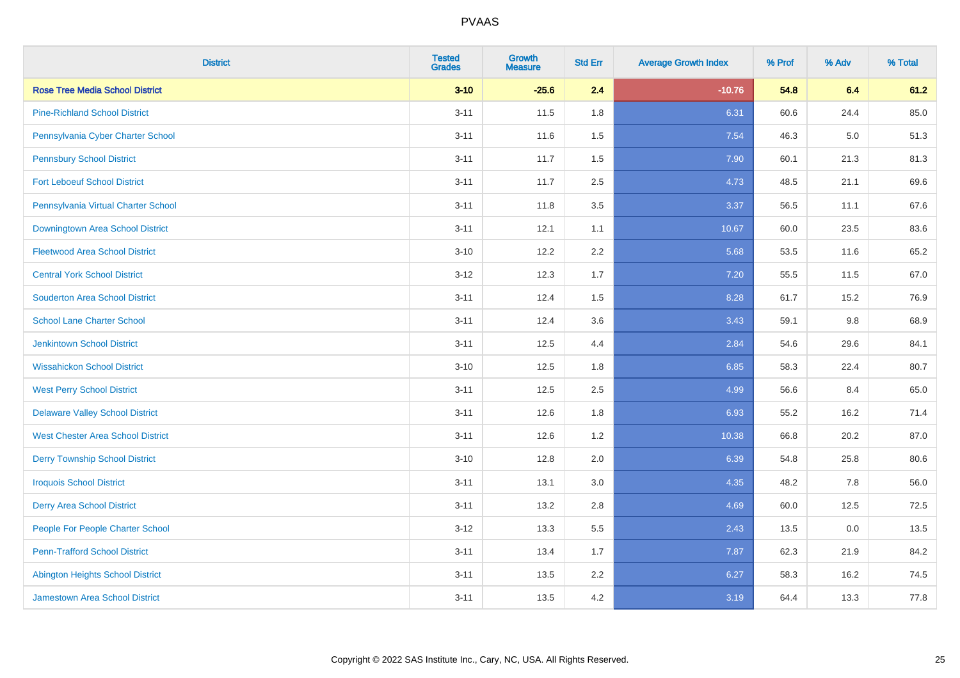| <b>District</b>                          | <b>Tested</b><br><b>Grades</b> | Growth<br><b>Measure</b> | <b>Std Err</b> | <b>Average Growth Index</b> | % Prof | % Adv   | % Total |
|------------------------------------------|--------------------------------|--------------------------|----------------|-----------------------------|--------|---------|---------|
| <b>Rose Tree Media School District</b>   | $3 - 10$                       | $-25.6$                  | 2.4            | $-10.76$                    | 54.8   | 6.4     | 61.2    |
| <b>Pine-Richland School District</b>     | $3 - 11$                       | 11.5                     | 1.8            | 6.31                        | 60.6   | 24.4    | 85.0    |
| Pennsylvania Cyber Charter School        | $3 - 11$                       | 11.6                     | 1.5            | 7.54                        | 46.3   | $5.0\,$ | 51.3    |
| <b>Pennsbury School District</b>         | $3 - 11$                       | 11.7                     | 1.5            | 7.90                        | 60.1   | 21.3    | 81.3    |
| <b>Fort Leboeuf School District</b>      | $3 - 11$                       | 11.7                     | 2.5            | 4.73                        | 48.5   | 21.1    | 69.6    |
| Pennsylvania Virtual Charter School      | $3 - 11$                       | 11.8                     | 3.5            | 3.37                        | 56.5   | 11.1    | 67.6    |
| <b>Downingtown Area School District</b>  | $3 - 11$                       | 12.1                     | 1.1            | 10.67                       | 60.0   | 23.5    | 83.6    |
| <b>Fleetwood Area School District</b>    | $3 - 10$                       | 12.2                     | 2.2            | 5.68                        | 53.5   | 11.6    | 65.2    |
| <b>Central York School District</b>      | $3 - 12$                       | 12.3                     | 1.7            | 7.20                        | 55.5   | 11.5    | 67.0    |
| <b>Souderton Area School District</b>    | $3 - 11$                       | 12.4                     | 1.5            | 8.28                        | 61.7   | 15.2    | 76.9    |
| <b>School Lane Charter School</b>        | $3 - 11$                       | 12.4                     | 3.6            | 3.43                        | 59.1   | 9.8     | 68.9    |
| <b>Jenkintown School District</b>        | $3 - 11$                       | 12.5                     | 4.4            | 2.84                        | 54.6   | 29.6    | 84.1    |
| <b>Wissahickon School District</b>       | $3 - 10$                       | 12.5                     | 1.8            | 6.85                        | 58.3   | 22.4    | 80.7    |
| <b>West Perry School District</b>        | $3 - 11$                       | 12.5                     | 2.5            | 4.99                        | 56.6   | 8.4     | 65.0    |
| <b>Delaware Valley School District</b>   | $3 - 11$                       | 12.6                     | 1.8            | 6.93                        | 55.2   | 16.2    | 71.4    |
| <b>West Chester Area School District</b> | $3 - 11$                       | 12.6                     | 1.2            | 10.38                       | 66.8   | 20.2    | 87.0    |
| <b>Derry Township School District</b>    | $3 - 10$                       | 12.8                     | 2.0            | 6.39                        | 54.8   | 25.8    | 80.6    |
| <b>Iroquois School District</b>          | $3 - 11$                       | 13.1                     | 3.0            | 4.35                        | 48.2   | 7.8     | 56.0    |
| <b>Derry Area School District</b>        | $3 - 11$                       | 13.2                     | 2.8            | 4.69                        | 60.0   | 12.5    | 72.5    |
| People For People Charter School         | $3 - 12$                       | 13.3                     | 5.5            | 2.43                        | 13.5   | 0.0     | 13.5    |
| <b>Penn-Trafford School District</b>     | $3 - 11$                       | 13.4                     | 1.7            | 7.87                        | 62.3   | 21.9    | 84.2    |
| <b>Abington Heights School District</b>  | $3 - 11$                       | 13.5                     | 2.2            | 6.27                        | 58.3   | 16.2    | 74.5    |
| <b>Jamestown Area School District</b>    | $3 - 11$                       | 13.5                     | 4.2            | 3.19                        | 64.4   | 13.3    | 77.8    |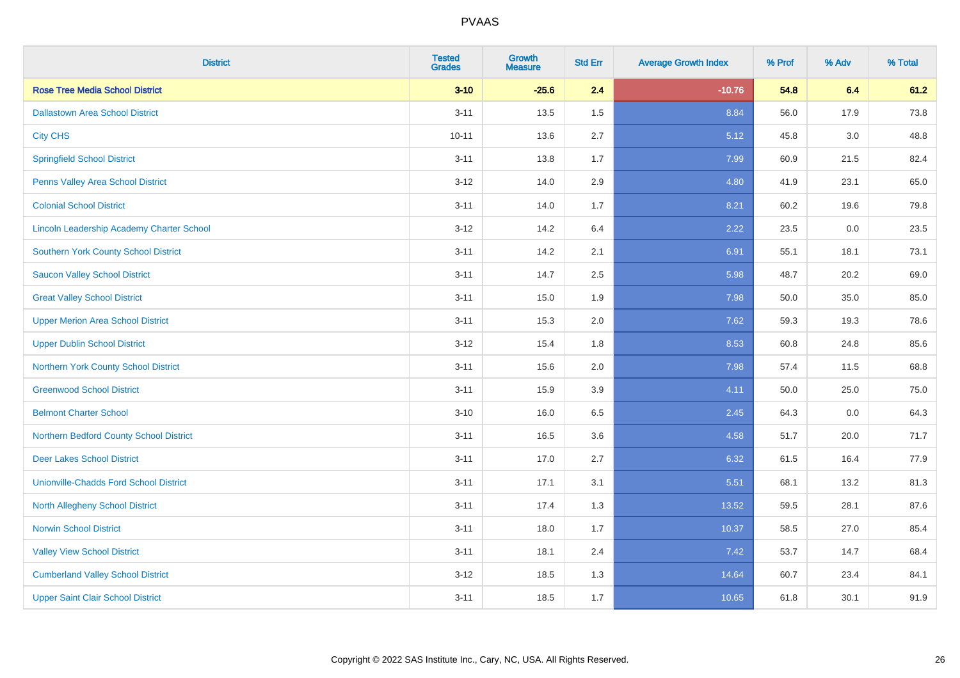| <b>District</b>                                  | <b>Tested</b><br><b>Grades</b> | <b>Growth</b><br><b>Measure</b> | <b>Std Err</b> | <b>Average Growth Index</b> | % Prof | % Adv   | % Total |
|--------------------------------------------------|--------------------------------|---------------------------------|----------------|-----------------------------|--------|---------|---------|
| <b>Rose Tree Media School District</b>           | $3 - 10$                       | $-25.6$                         | 2.4            | $-10.76$                    | 54.8   | 6.4     | 61.2    |
| <b>Dallastown Area School District</b>           | $3 - 11$                       | 13.5                            | 1.5            | 8.84                        | 56.0   | 17.9    | 73.8    |
| <b>City CHS</b>                                  | $10 - 11$                      | 13.6                            | 2.7            | 5.12                        | 45.8   | 3.0     | 48.8    |
| <b>Springfield School District</b>               | $3 - 11$                       | 13.8                            | 1.7            | 7.99                        | 60.9   | 21.5    | 82.4    |
| Penns Valley Area School District                | $3 - 12$                       | 14.0                            | 2.9            | 4.80                        | 41.9   | 23.1    | 65.0    |
| <b>Colonial School District</b>                  | $3 - 11$                       | 14.0                            | 1.7            | 8.21                        | 60.2   | 19.6    | 79.8    |
| <b>Lincoln Leadership Academy Charter School</b> | $3 - 12$                       | 14.2                            | 6.4            | 2.22                        | 23.5   | $0.0\,$ | 23.5    |
| <b>Southern York County School District</b>      | $3 - 11$                       | 14.2                            | 2.1            | 6.91                        | 55.1   | 18.1    | 73.1    |
| <b>Saucon Valley School District</b>             | $3 - 11$                       | 14.7                            | 2.5            | 5.98                        | 48.7   | 20.2    | 69.0    |
| <b>Great Valley School District</b>              | $3 - 11$                       | 15.0                            | 1.9            | 7.98                        | 50.0   | 35.0    | 85.0    |
| <b>Upper Merion Area School District</b>         | $3 - 11$                       | 15.3                            | 2.0            | 7.62                        | 59.3   | 19.3    | 78.6    |
| <b>Upper Dublin School District</b>              | $3 - 12$                       | 15.4                            | 1.8            | 8.53                        | 60.8   | 24.8    | 85.6    |
| Northern York County School District             | $3 - 11$                       | 15.6                            | 2.0            | 7.98                        | 57.4   | 11.5    | 68.8    |
| <b>Greenwood School District</b>                 | $3 - 11$                       | 15.9                            | 3.9            | 4.11                        | 50.0   | 25.0    | 75.0    |
| <b>Belmont Charter School</b>                    | $3 - 10$                       | 16.0                            | 6.5            | 2.45                        | 64.3   | 0.0     | 64.3    |
| Northern Bedford County School District          | $3 - 11$                       | 16.5                            | 3.6            | 4.58                        | 51.7   | 20.0    | 71.7    |
| <b>Deer Lakes School District</b>                | $3 - 11$                       | 17.0                            | 2.7            | 6.32                        | 61.5   | 16.4    | 77.9    |
| <b>Unionville-Chadds Ford School District</b>    | $3 - 11$                       | 17.1                            | 3.1            | 5.51                        | 68.1   | 13.2    | 81.3    |
| <b>North Allegheny School District</b>           | $3 - 11$                       | 17.4                            | 1.3            | 13.52                       | 59.5   | 28.1    | 87.6    |
| <b>Norwin School District</b>                    | $3 - 11$                       | 18.0                            | 1.7            | 10.37                       | 58.5   | 27.0    | 85.4    |
| <b>Valley View School District</b>               | $3 - 11$                       | 18.1                            | 2.4            | 7.42                        | 53.7   | 14.7    | 68.4    |
| <b>Cumberland Valley School District</b>         | $3 - 12$                       | 18.5                            | 1.3            | 14.64                       | 60.7   | 23.4    | 84.1    |
| <b>Upper Saint Clair School District</b>         | $3 - 11$                       | 18.5                            | 1.7            | 10.65                       | 61.8   | 30.1    | 91.9    |